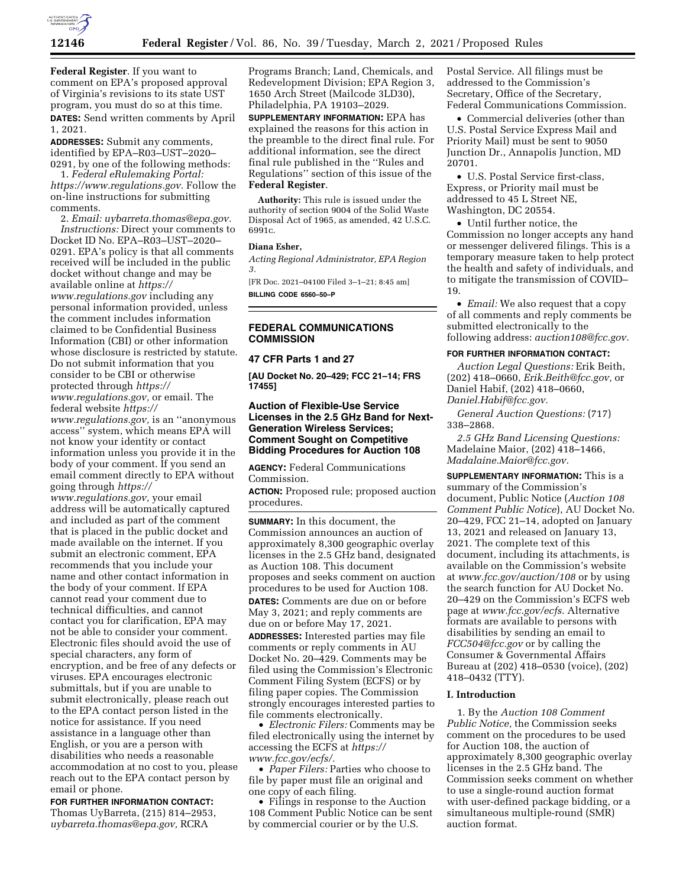

**Federal Register**. If you want to comment on EPA's proposed approval of Virginia's revisions to its state UST program, you must do so at this time. **DATES:** Send written comments by April 1, 2021.

**ADDRESSES:** Submit any comments, identified by EPA–R03–UST–2020– 0291, by one of the following methods:

1. *Federal eRulemaking Portal: [https://www.regulations.gov.](https://www.regulations.gov)* Follow the on-line instructions for submitting comments.

2. *Email: [uybarreta.thomas@epa.gov.](mailto:uybarreta.thomas@epa.gov) Instructions:* Direct your comments to Docket ID No. EPA–R03–UST–2020– 0291. EPA's policy is that all comments received will be included in the public docket without change and may be available online at *[https://](https://www.regulations.gov) [www.regulations.gov](https://www.regulations.gov)* including any personal information provided, unless the comment includes information claimed to be Confidential Business Information (CBI) or other information whose disclosure is restricted by statute. Do not submit information that you consider to be CBI or otherwise protected through *[https://](https://www.regulations.gov) [www.regulations.gov,](https://www.regulations.gov)* or email. The

federal website *[https://](https://www.regulations.gov) [www.regulations.gov,](https://www.regulations.gov)* is an ''anonymous access'' system, which means EPA will not know your identity or contact information unless you provide it in the body of your comment. If you send an email comment directly to EPA without going through *[https://](https://www.regulations.gov)*

*[www.regulations.gov,](https://www.regulations.gov)* your email address will be automatically captured and included as part of the comment that is placed in the public docket and made available on the internet. If you submit an electronic comment, EPA recommends that you include your name and other contact information in the body of your comment. If EPA cannot read your comment due to technical difficulties, and cannot contact you for clarification, EPA may not be able to consider your comment. Electronic files should avoid the use of special characters, any form of encryption, and be free of any defects or viruses. EPA encourages electronic submittals, but if you are unable to submit electronically, please reach out to the EPA contact person listed in the notice for assistance. If you need assistance in a language other than English, or you are a person with disabilities who needs a reasonable accommodation at no cost to you, please reach out to the EPA contact person by email or phone.

**FOR FURTHER INFORMATION CONTACT:**  Thomas UyBarreta, (215) 814–2953, *[uybarreta.thomas@epa.gov,](mailto:uybarreta.thomas@epa.gov)* RCRA

Programs Branch; Land, Chemicals, and Redevelopment Division; EPA Region 3, 1650 Arch Street (Mailcode 3LD30), Philadelphia, PA 19103–2029.

**SUPPLEMENTARY INFORMATION:** EPA has explained the reasons for this action in the preamble to the direct final rule. For additional information, see the direct final rule published in the ''Rules and Regulations'' section of this issue of the **Federal Register**.

**Authority:** This rule is issued under the authority of section 9004 of the Solid Waste Disposal Act of 1965, as amended, 42 U.S.C. 6991c.

#### **Diana Esher,**

*Acting Regional Administrator, EPA Region 3.* 

[FR Doc. 2021–04100 Filed 3–1–21; 8:45 am] **BILLING CODE 6560–50–P** 

# **FEDERAL COMMUNICATIONS COMMISSION**

**47 CFR Parts 1 and 27** 

**[AU Docket No. 20–429; FCC 21–14; FRS 17455]** 

# **Auction of Flexible-Use Service Licenses in the 2.5 GHz Band for Next-Generation Wireless Services; Comment Sought on Competitive Bidding Procedures for Auction 108**

**AGENCY:** Federal Communications Commission.

**ACTION:** Proposed rule; proposed auction procedures.

**SUMMARY:** In this document, the Commission announces an auction of approximately 8,300 geographic overlay licenses in the 2.5 GHz band, designated as Auction 108. This document proposes and seeks comment on auction procedures to be used for Auction 108. **DATES:** Comments are due on or before May 3, 2021; and reply comments are due on or before May 17, 2021.

**ADDRESSES:** Interested parties may file comments or reply comments in AU Docket No. 20–429. Comments may be filed using the Commission's Electronic Comment Filing System (ECFS) or by filing paper copies. The Commission strongly encourages interested parties to file comments electronically.

• *Electronic Filers:* Comments may be filed electronically using the internet by accessing the ECFS at *[https://](https://www.fcc.gov/ecfs/) [www.fcc.gov/ecfs/.](https://www.fcc.gov/ecfs/)* 

• *Paper Filers:* Parties who choose to file by paper must file an original and one copy of each filing.

• Filings in response to the Auction 108 Comment Public Notice can be sent by commercial courier or by the U.S.

Postal Service. All filings must be addressed to the Commission's Secretary, Office of the Secretary, Federal Communications Commission.

• Commercial deliveries (other than U.S. Postal Service Express Mail and Priority Mail) must be sent to 9050 Junction Dr., Annapolis Junction, MD 20701.

• U.S. Postal Service first-class, Express, or Priority mail must be addressed to 45 L Street NE, Washington, DC 20554.

• Until further notice, the Commission no longer accepts any hand or messenger delivered filings. This is a temporary measure taken to help protect the health and safety of individuals, and to mitigate the transmission of COVID– 19.

• *Email:* We also request that a copy of all comments and reply comments be submitted electronically to the following address: *[auction108@fcc.gov.](mailto:auction108@fcc.gov)* 

#### **FOR FURTHER INFORMATION CONTACT:**

*Auction Legal Questions:* Erik Beith, (202) 418–0660, *[Erik.Beith@fcc.gov,](mailto:Erik.Beith@fcc.gov)* or Daniel Habif, (202) 418–0660, *[Daniel.Habif@fcc.gov.](mailto:Daniel.Habif@fcc.gov)*

*General Auction Questions:* (717) 338–2868.

*2.5 GHz Band Licensing Questions:*  Madelaine Maior, (202) 418–1466, *[Madalaine.Maior@fcc.gov.](mailto:Madalaine.Maior@fcc.gov)* 

**SUPPLEMENTARY INFORMATION:** This is a summary of the Commission's document, Public Notice (*Auction 108 Comment Public Notice*), AU Docket No. 20–429, FCC 21–14, adopted on January 13, 2021 and released on January 13, 2021. The complete text of this document, including its attachments, is available on the Commission's website at *[www.fcc.gov/auction/108](http://www.fcc.gov/auction/108)* or by using the search function for AU Docket No. 20–429 on the Commission's ECFS web page at *[www.fcc.gov/ecfs.](http://www.fcc.gov/ecfs)* Alternative formats are available to persons with disabilities by sending an email to *[FCC504@fcc.gov](mailto:FCC504@fcc.gov)* or by calling the Consumer & Governmental Affairs Bureau at (202) 418–0530 (voice), (202) 418–0432 (TTY).

# **I. Introduction**

1. By the *Auction 108 Comment Public Notice,* the Commission seeks comment on the procedures to be used for Auction 108, the auction of approximately 8,300 geographic overlay licenses in the 2.5 GHz band. The Commission seeks comment on whether to use a single-round auction format with user-defined package bidding, or a simultaneous multiple-round (SMR) auction format.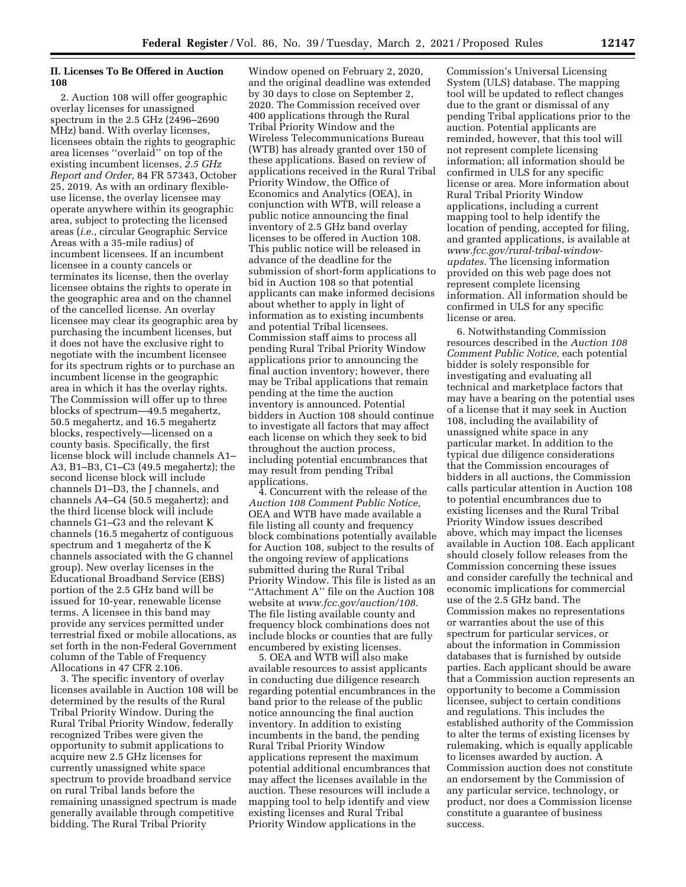# **II. Licenses To Be Offered in Auction 108**

2. Auction 108 will offer geographic overlay licenses for unassigned spectrum in the 2.5 GHz (2496–2690 MHz) band. With overlay licenses, licensees obtain the rights to geographic area licenses ''overlaid'' on top of the existing incumbent licenses, *2.5 GHz Report and Order,* 84 FR 57343, October 25, 2019. As with an ordinary flexibleuse license, the overlay licensee may operate anywhere within its geographic area, subject to protecting the licensed areas (*i.e.,* circular Geographic Service Areas with a 35-mile radius) of incumbent licensees. If an incumbent licensee in a county cancels or terminates its license, then the overlay licensee obtains the rights to operate in the geographic area and on the channel of the cancelled license. An overlay licensee may clear its geographic area by purchasing the incumbent licenses, but it does not have the exclusive right to negotiate with the incumbent licensee for its spectrum rights or to purchase an incumbent license in the geographic area in which it has the overlay rights. The Commission will offer up to three blocks of spectrum—49.5 megahertz, 50.5 megahertz, and 16.5 megahertz blocks, respectively—licensed on a county basis. Specifically, the first license block will include channels A1– A3, B1–B3, C1–C3 (49.5 megahertz); the second license block will include channels D1–D3, the J channels, and channels A4–G4 (50.5 megahertz); and the third license block will include channels G1–G3 and the relevant K channels (16.5 megahertz of contiguous spectrum and 1 megahertz of the K channels associated with the G channel group). New overlay licenses in the Educational Broadband Service (EBS) portion of the 2.5 GHz band will be issued for 10-year, renewable license terms. A licensee in this band may provide any services permitted under terrestrial fixed or mobile allocations, as set forth in the non-Federal Government column of the Table of Frequency Allocations in 47 CFR 2.106.

3. The specific inventory of overlay licenses available in Auction 108 will be determined by the results of the Rural Tribal Priority Window. During the Rural Tribal Priority Window, federally recognized Tribes were given the opportunity to submit applications to acquire new 2.5 GHz licenses for currently unassigned white space spectrum to provide broadband service on rural Tribal lands before the remaining unassigned spectrum is made generally available through competitive bidding. The Rural Tribal Priority

Window opened on February 2, 2020, and the original deadline was extended by 30 days to close on September 2, 2020. The Commission received over 400 applications through the Rural Tribal Priority Window and the Wireless Telecommunications Bureau (WTB) has already granted over 150 of these applications. Based on review of applications received in the Rural Tribal Priority Window, the Office of Economics and Analytics (OEA), in conjunction with WTB, will release a public notice announcing the final inventory of 2.5 GHz band overlay licenses to be offered in Auction 108. This public notice will be released in advance of the deadline for the submission of short-form applications to bid in Auction 108 so that potential applicants can make informed decisions about whether to apply in light of information as to existing incumbents and potential Tribal licensees. Commission staff aims to process all pending Rural Tribal Priority Window applications prior to announcing the final auction inventory; however, there may be Tribal applications that remain pending at the time the auction inventory is announced. Potential bidders in Auction 108 should continue to investigate all factors that may affect each license on which they seek to bid throughout the auction process, including potential encumbrances that may result from pending Tribal applications.

4. Concurrent with the release of the *Auction 108 Comment Public Notice,*  OEA and WTB have made available a file listing all county and frequency block combinations potentially available for Auction 108, subject to the results of the ongoing review of applications submitted during the Rural Tribal Priority Window. This file is listed as an ''Attachment A'' file on the Auction 108 website at *[www.fcc.gov/auction/108.](http://www.fcc.gov/auction/108)*  The file listing available county and frequency block combinations does not include blocks or counties that are fully encumbered by existing licenses.

5. OEA and WTB will also make available resources to assist applicants in conducting due diligence research regarding potential encumbrances in the band prior to the release of the public notice announcing the final auction inventory. In addition to existing incumbents in the band, the pending Rural Tribal Priority Window applications represent the maximum potential additional encumbrances that may affect the licenses available in the auction. These resources will include a mapping tool to help identify and view existing licenses and Rural Tribal Priority Window applications in the

Commission's Universal Licensing System (ULS) database. The mapping tool will be updated to reflect changes due to the grant or dismissal of any pending Tribal applications prior to the auction. Potential applicants are reminded, however, that this tool will not represent complete licensing information; all information should be confirmed in ULS for any specific license or area. More information about Rural Tribal Priority Window applications, including a current mapping tool to help identify the location of pending, accepted for filing, and granted applications, is available at *[www.fcc.gov/rural-tribal-window](https://www.fcc.gov/rural-tribal-window-updates)[updates.](https://www.fcc.gov/rural-tribal-window-updates)* The licensing information provided on this web page does not represent complete licensing information. All information should be confirmed in ULS for any specific license or area.

6. Notwithstanding Commission resources described in the *Auction 108 Comment Public Notice,* each potential bidder is solely responsible for investigating and evaluating all technical and marketplace factors that may have a bearing on the potential uses of a license that it may seek in Auction 108, including the availability of unassigned white space in any particular market. In addition to the typical due diligence considerations that the Commission encourages of bidders in all auctions, the Commission calls particular attention in Auction 108 to potential encumbrances due to existing licenses and the Rural Tribal Priority Window issues described above, which may impact the licenses available in Auction 108. Each applicant should closely follow releases from the Commission concerning these issues and consider carefully the technical and economic implications for commercial use of the 2.5 GHz band. The Commission makes no representations or warranties about the use of this spectrum for particular services, or about the information in Commission databases that is furnished by outside parties. Each applicant should be aware that a Commission auction represents an opportunity to become a Commission licensee, subject to certain conditions and regulations. This includes the established authority of the Commission to alter the terms of existing licenses by rulemaking, which is equally applicable to licenses awarded by auction. A Commission auction does not constitute an endorsement by the Commission of any particular service, technology, or product, nor does a Commission license constitute a guarantee of business success.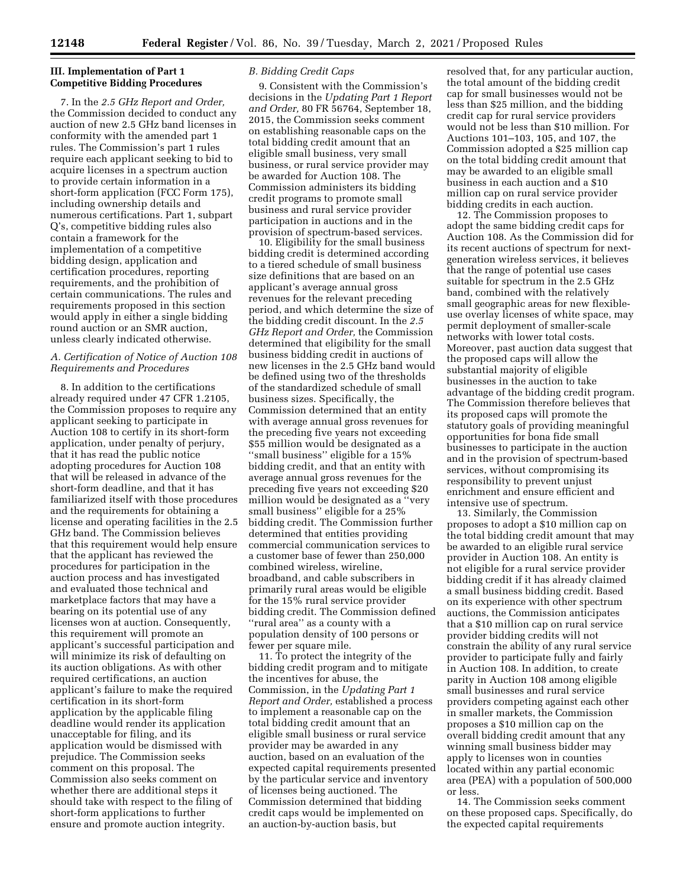# **III. Implementation of Part 1 Competitive Bidding Procedures**

7. In the *2.5 GHz Report and Order,*  the Commission decided to conduct any auction of new 2.5 GHz band licenses in conformity with the amended part 1 rules. The Commission's part 1 rules require each applicant seeking to bid to acquire licenses in a spectrum auction to provide certain information in a short-form application (FCC Form 175), including ownership details and numerous certifications. Part 1, subpart Q's, competitive bidding rules also contain a framework for the implementation of a competitive bidding design, application and certification procedures, reporting requirements, and the prohibition of certain communications. The rules and requirements proposed in this section would apply in either a single bidding round auction or an SMR auction, unless clearly indicated otherwise.

# *A. Certification of Notice of Auction 108 Requirements and Procedures*

8. In addition to the certifications already required under 47 CFR 1.2105, the Commission proposes to require any applicant seeking to participate in Auction 108 to certify in its short-form application, under penalty of perjury, that it has read the public notice adopting procedures for Auction 108 that will be released in advance of the short-form deadline, and that it has familiarized itself with those procedures and the requirements for obtaining a license and operating facilities in the 2.5 GHz band. The Commission believes that this requirement would help ensure that the applicant has reviewed the procedures for participation in the auction process and has investigated and evaluated those technical and marketplace factors that may have a bearing on its potential use of any licenses won at auction. Consequently, this requirement will promote an applicant's successful participation and will minimize its risk of defaulting on its auction obligations. As with other required certifications, an auction applicant's failure to make the required certification in its short-form application by the applicable filing deadline would render its application unacceptable for filing, and its application would be dismissed with prejudice. The Commission seeks comment on this proposal. The Commission also seeks comment on whether there are additional steps it should take with respect to the filing of short-form applications to further ensure and promote auction integrity.

# *B. Bidding Credit Caps*

9. Consistent with the Commission's decisions in the *Updating Part 1 Report and Order,* 80 FR 56764, September 18, 2015, the Commission seeks comment on establishing reasonable caps on the total bidding credit amount that an eligible small business, very small business, or rural service provider may be awarded for Auction 108. The Commission administers its bidding credit programs to promote small business and rural service provider participation in auctions and in the provision of spectrum-based services.

10. Eligibility for the small business bidding credit is determined according to a tiered schedule of small business size definitions that are based on an applicant's average annual gross revenues for the relevant preceding period, and which determine the size of the bidding credit discount. In the *2.5 GHz Report and Order,* the Commission determined that eligibility for the small business bidding credit in auctions of new licenses in the 2.5 GHz band would be defined using two of the thresholds of the standardized schedule of small business sizes. Specifically, the Commission determined that an entity with average annual gross revenues for the preceding five years not exceeding \$55 million would be designated as a ''small business'' eligible for a 15% bidding credit, and that an entity with average annual gross revenues for the preceding five years not exceeding \$20 million would be designated as a ''very small business'' eligible for a 25% bidding credit. The Commission further determined that entities providing commercial communication services to a customer base of fewer than 250,000 combined wireless, wireline, broadband, and cable subscribers in primarily rural areas would be eligible for the 15% rural service provider bidding credit. The Commission defined ''rural area'' as a county with a population density of 100 persons or fewer per square mile.

11. To protect the integrity of the bidding credit program and to mitigate the incentives for abuse, the Commission, in the *Updating Part 1 Report and Order,* established a process to implement a reasonable cap on the total bidding credit amount that an eligible small business or rural service provider may be awarded in any auction, based on an evaluation of the expected capital requirements presented by the particular service and inventory of licenses being auctioned. The Commission determined that bidding credit caps would be implemented on an auction-by-auction basis, but

resolved that, for any particular auction, the total amount of the bidding credit cap for small businesses would not be less than \$25 million, and the bidding credit cap for rural service providers would not be less than \$10 million. For Auctions 101–103, 105, and 107, the Commission adopted a \$25 million cap on the total bidding credit amount that may be awarded to an eligible small business in each auction and a \$10 million cap on rural service provider bidding credits in each auction.

12. The Commission proposes to adopt the same bidding credit caps for Auction 108. As the Commission did for its recent auctions of spectrum for nextgeneration wireless services, it believes that the range of potential use cases suitable for spectrum in the 2.5 GHz band, combined with the relatively small geographic areas for new flexibleuse overlay licenses of white space, may permit deployment of smaller-scale networks with lower total costs. Moreover, past auction data suggest that the proposed caps will allow the substantial majority of eligible businesses in the auction to take advantage of the bidding credit program. The Commission therefore believes that its proposed caps will promote the statutory goals of providing meaningful opportunities for bona fide small businesses to participate in the auction and in the provision of spectrum-based services, without compromising its responsibility to prevent unjust enrichment and ensure efficient and intensive use of spectrum.

13. Similarly, the Commission proposes to adopt a \$10 million cap on the total bidding credit amount that may be awarded to an eligible rural service provider in Auction 108. An entity is not eligible for a rural service provider bidding credit if it has already claimed a small business bidding credit. Based on its experience with other spectrum auctions, the Commission anticipates that a \$10 million cap on rural service provider bidding credits will not constrain the ability of any rural service provider to participate fully and fairly in Auction 108. In addition, to create parity in Auction 108 among eligible small businesses and rural service providers competing against each other in smaller markets, the Commission proposes a \$10 million cap on the overall bidding credit amount that any winning small business bidder may apply to licenses won in counties located within any partial economic area (PEA) with a population of 500,000 or less.

14. The Commission seeks comment on these proposed caps. Specifically, do the expected capital requirements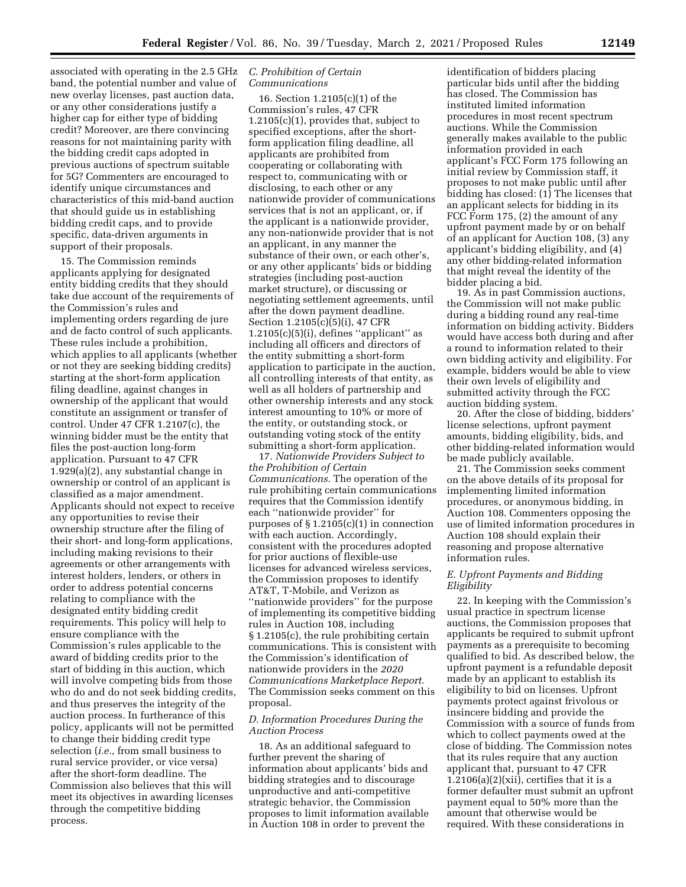associated with operating in the 2.5 GHz band, the potential number and value of new overlay licenses, past auction data, or any other considerations justify a higher cap for either type of bidding credit? Moreover, are there convincing reasons for not maintaining parity with the bidding credit caps adopted in previous auctions of spectrum suitable for 5G? Commenters are encouraged to identify unique circumstances and characteristics of this mid-band auction that should guide us in establishing bidding credit caps, and to provide specific, data-driven arguments in support of their proposals.

15. The Commission reminds applicants applying for designated entity bidding credits that they should take due account of the requirements of the Commission's rules and implementing orders regarding de jure and de facto control of such applicants. These rules include a prohibition, which applies to all applicants (whether or not they are seeking bidding credits) starting at the short-form application filing deadline, against changes in ownership of the applicant that would constitute an assignment or transfer of control. Under 47 CFR 1.2107(c), the winning bidder must be the entity that files the post-auction long-form application. Pursuant to 47 CFR 1.929(a)(2), any substantial change in ownership or control of an applicant is classified as a major amendment. Applicants should not expect to receive any opportunities to revise their ownership structure after the filing of their short- and long-form applications, including making revisions to their agreements or other arrangements with interest holders, lenders, or others in order to address potential concerns relating to compliance with the designated entity bidding credit requirements. This policy will help to ensure compliance with the Commission's rules applicable to the award of bidding credits prior to the start of bidding in this auction, which will involve competing bids from those who do and do not seek bidding credits, and thus preserves the integrity of the auction process. In furtherance of this policy, applicants will not be permitted to change their bidding credit type selection (*i.e.,* from small business to rural service provider, or vice versa) after the short-form deadline. The Commission also believes that this will meet its objectives in awarding licenses through the competitive bidding process.

## *C. Prohibition of Certain Communications*

16. Section 1.2105(c)(1) of the Commission's rules, 47 CFR 1.2105(c)(1), provides that, subject to specified exceptions, after the shortform application filing deadline, all applicants are prohibited from cooperating or collaborating with respect to, communicating with or disclosing, to each other or any nationwide provider of communications services that is not an applicant, or, if the applicant is a nationwide provider, any non-nationwide provider that is not an applicant, in any manner the substance of their own, or each other's, or any other applicants' bids or bidding strategies (including post-auction market structure), or discussing or negotiating settlement agreements, until after the down payment deadline. Section 1.2105(c)(5)(i), 47 CFR  $1.2105(c)(5)(i)$ , defines "applicant" as including all officers and directors of the entity submitting a short-form application to participate in the auction, all controlling interests of that entity, as well as all holders of partnership and other ownership interests and any stock interest amounting to 10% or more of the entity, or outstanding stock, or outstanding voting stock of the entity submitting a short-form application.

17. *Nationwide Providers Subject to the Prohibition of Certain Communications.* The operation of the rule prohibiting certain communications requires that the Commission identify each ''nationwide provider'' for purposes of  $\S 1.2105(c)(1)$  in connection with each auction. Accordingly, consistent with the procedures adopted for prior auctions of flexible-use licenses for advanced wireless services, the Commission proposes to identify AT&T, T-Mobile, and Verizon as ''nationwide providers'' for the purpose of implementing its competitive bidding rules in Auction 108, including § 1.2105(c), the rule prohibiting certain communications. This is consistent with the Commission's identification of nationwide providers in the *2020 Communications Marketplace Report.*  The Commission seeks comment on this proposal.

# *D. Information Procedures During the Auction Process*

18. As an additional safeguard to further prevent the sharing of information about applicants' bids and bidding strategies and to discourage unproductive and anti-competitive strategic behavior, the Commission proposes to limit information available in Auction 108 in order to prevent the

identification of bidders placing particular bids until after the bidding has closed. The Commission has instituted limited information procedures in most recent spectrum auctions. While the Commission generally makes available to the public information provided in each applicant's FCC Form 175 following an initial review by Commission staff, it proposes to not make public until after bidding has closed: (1) The licenses that an applicant selects for bidding in its FCC Form 175, (2) the amount of any upfront payment made by or on behalf of an applicant for Auction 108, (3) any applicant's bidding eligibility, and (4) any other bidding-related information that might reveal the identity of the bidder placing a bid.

19. As in past Commission auctions, the Commission will not make public during a bidding round any real-time information on bidding activity. Bidders would have access both during and after a round to information related to their own bidding activity and eligibility. For example, bidders would be able to view their own levels of eligibility and submitted activity through the FCC auction bidding system.

20. After the close of bidding, bidders' license selections, upfront payment amounts, bidding eligibility, bids, and other bidding-related information would be made publicly available.

21. The Commission seeks comment on the above details of its proposal for implementing limited information procedures, or anonymous bidding, in Auction 108. Commenters opposing the use of limited information procedures in Auction 108 should explain their reasoning and propose alternative information rules.

### *E. Upfront Payments and Bidding Eligibility*

22. In keeping with the Commission's usual practice in spectrum license auctions, the Commission proposes that applicants be required to submit upfront payments as a prerequisite to becoming qualified to bid. As described below, the upfront payment is a refundable deposit made by an applicant to establish its eligibility to bid on licenses. Upfront payments protect against frivolous or insincere bidding and provide the Commission with a source of funds from which to collect payments owed at the close of bidding. The Commission notes that its rules require that any auction applicant that, pursuant to 47 CFR  $1.2106(a)(2)(xii)$ , certifies that it is a former defaulter must submit an upfront payment equal to 50% more than the amount that otherwise would be required. With these considerations in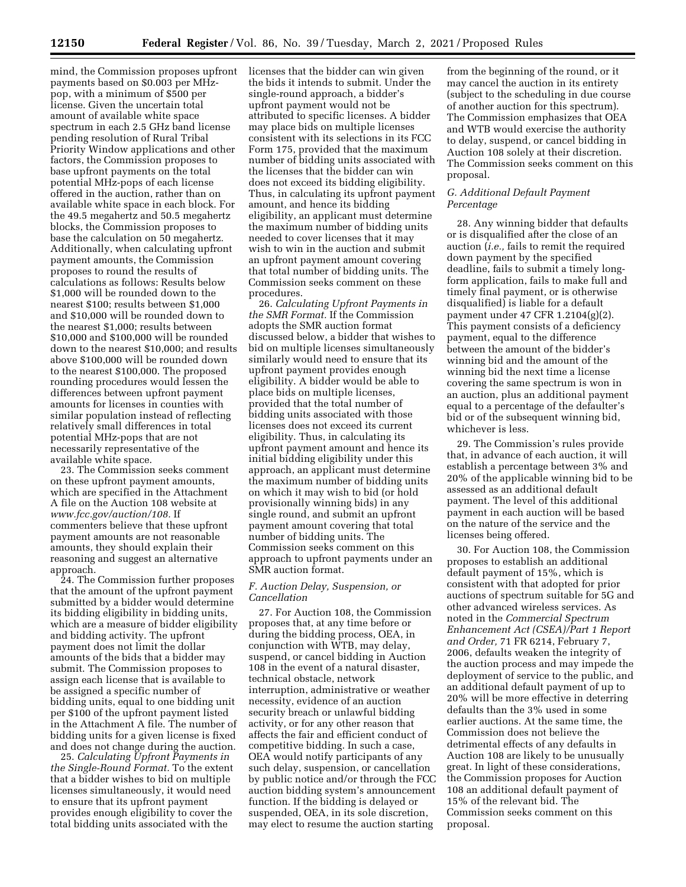mind, the Commission proposes upfront payments based on \$0.003 per MHzpop, with a minimum of \$500 per license. Given the uncertain total amount of available white space spectrum in each 2.5 GHz band license pending resolution of Rural Tribal Priority Window applications and other factors, the Commission proposes to base upfront payments on the total potential MHz-pops of each license offered in the auction, rather than on available white space in each block. For the 49.5 megahertz and 50.5 megahertz blocks, the Commission proposes to base the calculation on 50 megahertz. Additionally, when calculating upfront payment amounts, the Commission proposes to round the results of calculations as follows: Results below \$1,000 will be rounded down to the nearest \$100; results between \$1,000 and \$10,000 will be rounded down to the nearest \$1,000; results between \$10,000 and \$100,000 will be rounded down to the nearest \$10,000; and results above \$100,000 will be rounded down to the nearest \$100,000. The proposed rounding procedures would lessen the differences between upfront payment amounts for licenses in counties with similar population instead of reflecting relatively small differences in total potential MHz-pops that are not necessarily representative of the available white space.

23. The Commission seeks comment on these upfront payment amounts, which are specified in the Attachment A file on the Auction 108 website at *[www.fcc.gov/auction/108.](http://www.fcc.gov/auction/108)* If commenters believe that these upfront payment amounts are not reasonable amounts, they should explain their reasoning and suggest an alternative approach.

24. The Commission further proposes that the amount of the upfront payment submitted by a bidder would determine its bidding eligibility in bidding units, which are a measure of bidder eligibility and bidding activity. The upfront payment does not limit the dollar amounts of the bids that a bidder may submit. The Commission proposes to assign each license that is available to be assigned a specific number of bidding units, equal to one bidding unit per \$100 of the upfront payment listed in the Attachment A file. The number of bidding units for a given license is fixed and does not change during the auction.

25. *Calculating Upfront Payments in the Single-Round Format.* To the extent that a bidder wishes to bid on multiple licenses simultaneously, it would need to ensure that its upfront payment provides enough eligibility to cover the total bidding units associated with the

licenses that the bidder can win given the bids it intends to submit. Under the single-round approach, a bidder's upfront payment would not be attributed to specific licenses. A bidder may place bids on multiple licenses consistent with its selections in its FCC Form 175, provided that the maximum number of bidding units associated with the licenses that the bidder can win does not exceed its bidding eligibility. Thus, in calculating its upfront payment amount, and hence its bidding eligibility, an applicant must determine the maximum number of bidding units needed to cover licenses that it may wish to win in the auction and submit an upfront payment amount covering that total number of bidding units. The Commission seeks comment on these procedures.

26. *Calculating Upfront Payments in the SMR Format.* If the Commission adopts the SMR auction format discussed below, a bidder that wishes to bid on multiple licenses simultaneously similarly would need to ensure that its upfront payment provides enough eligibility. A bidder would be able to place bids on multiple licenses, provided that the total number of bidding units associated with those licenses does not exceed its current eligibility. Thus, in calculating its upfront payment amount and hence its initial bidding eligibility under this approach, an applicant must determine the maximum number of bidding units on which it may wish to bid (or hold provisionally winning bids) in any single round, and submit an upfront payment amount covering that total number of bidding units. The Commission seeks comment on this approach to upfront payments under an SMR auction format.

# *F. Auction Delay, Suspension, or Cancellation*

27. For Auction 108, the Commission proposes that, at any time before or during the bidding process, OEA, in conjunction with WTB, may delay, suspend, or cancel bidding in Auction 108 in the event of a natural disaster, technical obstacle, network interruption, administrative or weather necessity, evidence of an auction security breach or unlawful bidding activity, or for any other reason that affects the fair and efficient conduct of competitive bidding. In such a case, OEA would notify participants of any such delay, suspension, or cancellation by public notice and/or through the FCC auction bidding system's announcement function. If the bidding is delayed or suspended, OEA, in its sole discretion, may elect to resume the auction starting

from the beginning of the round, or it may cancel the auction in its entirety (subject to the scheduling in due course of another auction for this spectrum). The Commission emphasizes that OEA and WTB would exercise the authority to delay, suspend, or cancel bidding in Auction 108 solely at their discretion. The Commission seeks comment on this proposal.

# *G. Additional Default Payment Percentage*

28. Any winning bidder that defaults or is disqualified after the close of an auction (*i.e.,* fails to remit the required down payment by the specified deadline, fails to submit a timely longform application, fails to make full and timely final payment, or is otherwise disqualified) is liable for a default payment under 47 CFR 1.2104(g)(2). This payment consists of a deficiency payment, equal to the difference between the amount of the bidder's winning bid and the amount of the winning bid the next time a license covering the same spectrum is won in an auction, plus an additional payment equal to a percentage of the defaulter's bid or of the subsequent winning bid, whichever is less.

29. The Commission's rules provide that, in advance of each auction, it will establish a percentage between 3% and 20% of the applicable winning bid to be assessed as an additional default payment. The level of this additional payment in each auction will be based on the nature of the service and the licenses being offered.

30. For Auction 108, the Commission proposes to establish an additional default payment of 15%, which is consistent with that adopted for prior auctions of spectrum suitable for 5G and other advanced wireless services. As noted in the *Commercial Spectrum Enhancement Act (CSEA)/Part 1 Report and Order,* 71 FR 6214, February 7, 2006, defaults weaken the integrity of the auction process and may impede the deployment of service to the public, and an additional default payment of up to 20% will be more effective in deterring defaults than the 3% used in some earlier auctions. At the same time, the Commission does not believe the detrimental effects of any defaults in Auction 108 are likely to be unusually great. In light of these considerations, the Commission proposes for Auction 108 an additional default payment of 15% of the relevant bid. The Commission seeks comment on this proposal.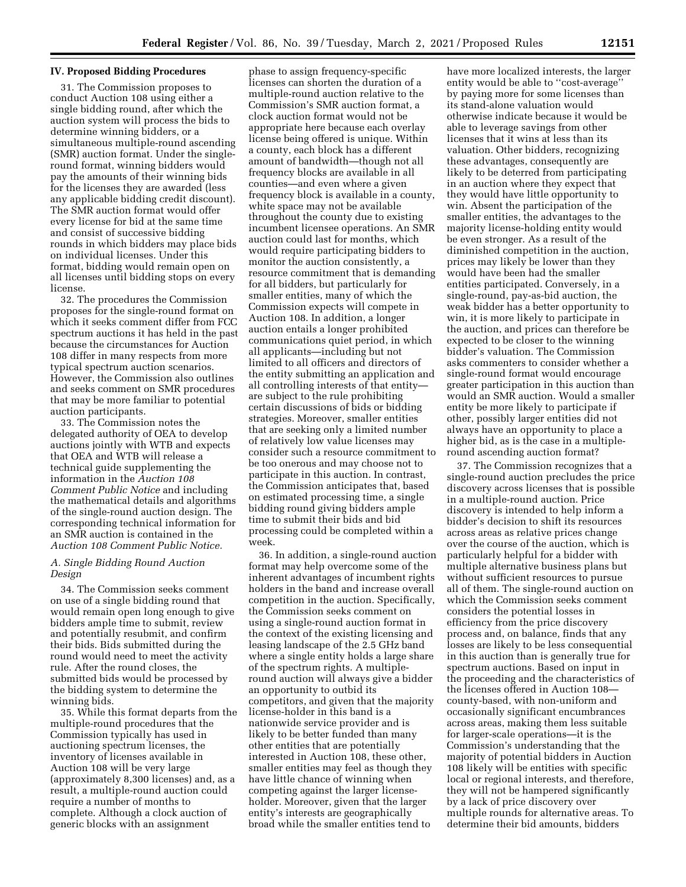#### **IV. Proposed Bidding Procedures**

31. The Commission proposes to conduct Auction 108 using either a single bidding round, after which the auction system will process the bids to determine winning bidders, or a simultaneous multiple-round ascending (SMR) auction format. Under the singleround format, winning bidders would pay the amounts of their winning bids for the licenses they are awarded (less any applicable bidding credit discount). The SMR auction format would offer every license for bid at the same time and consist of successive bidding rounds in which bidders may place bids on individual licenses. Under this format, bidding would remain open on all licenses until bidding stops on every license.

32. The procedures the Commission proposes for the single-round format on which it seeks comment differ from FCC spectrum auctions it has held in the past because the circumstances for Auction 108 differ in many respects from more typical spectrum auction scenarios. However, the Commission also outlines and seeks comment on SMR procedures that may be more familiar to potential auction participants.

33. The Commission notes the delegated authority of OEA to develop auctions jointly with WTB and expects that OEA and WTB will release a technical guide supplementing the information in the *Auction 108 Comment Public Notice* and including the mathematical details and algorithms of the single-round auction design. The corresponding technical information for an SMR auction is contained in the *Auction 108 Comment Public Notice.* 

## *A. Single Bidding Round Auction Design*

34. The Commission seeks comment on use of a single bidding round that would remain open long enough to give bidders ample time to submit, review and potentially resubmit, and confirm their bids. Bids submitted during the round would need to meet the activity rule. After the round closes, the submitted bids would be processed by the bidding system to determine the winning bids.

35. While this format departs from the multiple-round procedures that the Commission typically has used in auctioning spectrum licenses, the inventory of licenses available in Auction 108 will be very large (approximately 8,300 licenses) and, as a result, a multiple-round auction could require a number of months to complete. Although a clock auction of generic blocks with an assignment

phase to assign frequency-specific licenses can shorten the duration of a multiple-round auction relative to the Commission's SMR auction format, a clock auction format would not be appropriate here because each overlay license being offered is unique. Within a county, each block has a different amount of bandwidth—though not all frequency blocks are available in all counties—and even where a given frequency block is available in a county, white space may not be available throughout the county due to existing incumbent licensee operations. An SMR auction could last for months, which would require participating bidders to monitor the auction consistently, a resource commitment that is demanding for all bidders, but particularly for smaller entities, many of which the Commission expects will compete in Auction 108. In addition, a longer auction entails a longer prohibited communications quiet period, in which all applicants—including but not limited to all officers and directors of the entity submitting an application and all controlling interests of that entity are subject to the rule prohibiting certain discussions of bids or bidding strategies. Moreover, smaller entities that are seeking only a limited number of relatively low value licenses may consider such a resource commitment to be too onerous and may choose not to participate in this auction. In contrast, the Commission anticipates that, based on estimated processing time, a single bidding round giving bidders ample time to submit their bids and bid processing could be completed within a week.

36. In addition, a single-round auction format may help overcome some of the inherent advantages of incumbent rights holders in the band and increase overall competition in the auction. Specifically, the Commission seeks comment on using a single-round auction format in the context of the existing licensing and leasing landscape of the 2.5 GHz band where a single entity holds a large share of the spectrum rights. A multipleround auction will always give a bidder an opportunity to outbid its competitors, and given that the majority license-holder in this band is a nationwide service provider and is likely to be better funded than many other entities that are potentially interested in Auction 108, these other, smaller entities may feel as though they have little chance of winning when competing against the larger licenseholder. Moreover, given that the larger entity's interests are geographically broad while the smaller entities tend to

have more localized interests, the larger entity would be able to ''cost-average'' by paying more for some licenses than its stand-alone valuation would otherwise indicate because it would be able to leverage savings from other licenses that it wins at less than its valuation. Other bidders, recognizing these advantages, consequently are likely to be deterred from participating in an auction where they expect that they would have little opportunity to win. Absent the participation of the smaller entities, the advantages to the majority license-holding entity would be even stronger. As a result of the diminished competition in the auction, prices may likely be lower than they would have been had the smaller entities participated. Conversely, in a single-round, pay-as-bid auction, the weak bidder has a better opportunity to win, it is more likely to participate in the auction, and prices can therefore be expected to be closer to the winning bidder's valuation. The Commission asks commenters to consider whether a single-round format would encourage greater participation in this auction than would an SMR auction. Would a smaller entity be more likely to participate if other, possibly larger entities did not always have an opportunity to place a higher bid, as is the case in a multipleround ascending auction format?

37. The Commission recognizes that a single-round auction precludes the price discovery across licenses that is possible in a multiple-round auction. Price discovery is intended to help inform a bidder's decision to shift its resources across areas as relative prices change over the course of the auction, which is particularly helpful for a bidder with multiple alternative business plans but without sufficient resources to pursue all of them. The single-round auction on which the Commission seeks comment considers the potential losses in efficiency from the price discovery process and, on balance, finds that any losses are likely to be less consequential in this auction than is generally true for spectrum auctions. Based on input in the proceeding and the characteristics of the licenses offered in Auction 108 county-based, with non-uniform and occasionally significant encumbrances across areas, making them less suitable for larger-scale operations—it is the Commission's understanding that the majority of potential bidders in Auction 108 likely will be entities with specific local or regional interests, and therefore, they will not be hampered significantly by a lack of price discovery over multiple rounds for alternative areas. To determine their bid amounts, bidders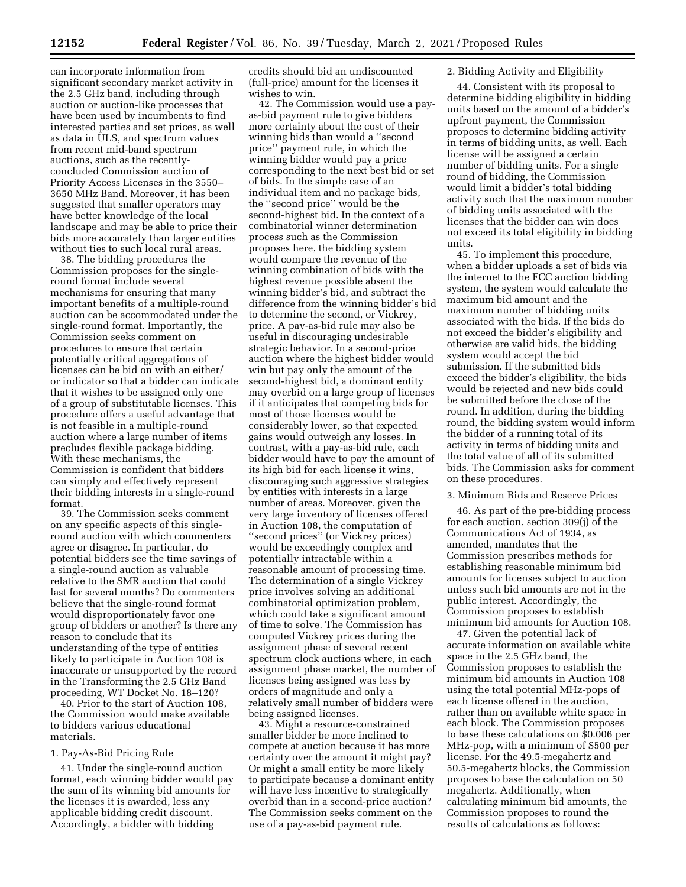can incorporate information from significant secondary market activity in the 2.5 GHz band, including through auction or auction-like processes that have been used by incumbents to find interested parties and set prices, as well as data in ULS, and spectrum values from recent mid-band spectrum auctions, such as the recentlyconcluded Commission auction of Priority Access Licenses in the 3550– 3650 MHz Band. Moreover, it has been suggested that smaller operators may have better knowledge of the local landscape and may be able to price their bids more accurately than larger entities without ties to such local rural areas.

38. The bidding procedures the Commission proposes for the singleround format include several mechanisms for ensuring that many important benefits of a multiple-round auction can be accommodated under the single-round format. Importantly, the Commission seeks comment on procedures to ensure that certain potentially critical aggregations of licenses can be bid on with an either/ or indicator so that a bidder can indicate that it wishes to be assigned only one of a group of substitutable licenses. This procedure offers a useful advantage that is not feasible in a multiple-round auction where a large number of items precludes flexible package bidding. With these mechanisms, the Commission is confident that bidders can simply and effectively represent their bidding interests in a single-round format.

39. The Commission seeks comment on any specific aspects of this singleround auction with which commenters agree or disagree. In particular, do potential bidders see the time savings of a single-round auction as valuable relative to the SMR auction that could last for several months? Do commenters believe that the single-round format would disproportionately favor one group of bidders or another? Is there any reason to conclude that its understanding of the type of entities likely to participate in Auction 108 is inaccurate or unsupported by the record in the Transforming the 2.5 GHz Band proceeding, WT Docket No. 18–120?

40. Prior to the start of Auction 108, the Commission would make available to bidders various educational materials.

### 1. Pay-As-Bid Pricing Rule

41. Under the single-round auction format, each winning bidder would pay the sum of its winning bid amounts for the licenses it is awarded, less any applicable bidding credit discount. Accordingly, a bidder with bidding

credits should bid an undiscounted (full-price) amount for the licenses it wishes to win.

42. The Commission would use a payas-bid payment rule to give bidders more certainty about the cost of their winning bids than would a ''second price'' payment rule, in which the winning bidder would pay a price corresponding to the next best bid or set of bids. In the simple case of an individual item and no package bids, the ''second price'' would be the second-highest bid. In the context of a combinatorial winner determination process such as the Commission proposes here, the bidding system would compare the revenue of the winning combination of bids with the highest revenue possible absent the winning bidder's bid, and subtract the difference from the winning bidder's bid to determine the second, or Vickrey, price. A pay-as-bid rule may also be useful in discouraging undesirable strategic behavior. In a second-price auction where the highest bidder would win but pay only the amount of the second-highest bid, a dominant entity may overbid on a large group of licenses if it anticipates that competing bids for most of those licenses would be considerably lower, so that expected gains would outweigh any losses. In contrast, with a pay-as-bid rule, each bidder would have to pay the amount of its high bid for each license it wins, discouraging such aggressive strategies by entities with interests in a large number of areas. Moreover, given the very large inventory of licenses offered in Auction 108, the computation of ''second prices'' (or Vickrey prices) would be exceedingly complex and potentially intractable within a reasonable amount of processing time. The determination of a single Vickrey price involves solving an additional combinatorial optimization problem, which could take a significant amount of time to solve. The Commission has computed Vickrey prices during the assignment phase of several recent spectrum clock auctions where, in each assignment phase market, the number of licenses being assigned was less by orders of magnitude and only a relatively small number of bidders were being assigned licenses.

43. Might a resource-constrained smaller bidder be more inclined to compete at auction because it has more certainty over the amount it might pay? Or might a small entity be more likely to participate because a dominant entity will have less incentive to strategically overbid than in a second-price auction? The Commission seeks comment on the use of a pay-as-bid payment rule.

## 2. Bidding Activity and Eligibility

44. Consistent with its proposal to determine bidding eligibility in bidding units based on the amount of a bidder's upfront payment, the Commission proposes to determine bidding activity in terms of bidding units, as well. Each license will be assigned a certain number of bidding units. For a single round of bidding, the Commission would limit a bidder's total bidding activity such that the maximum number of bidding units associated with the licenses that the bidder can win does not exceed its total eligibility in bidding units.

45. To implement this procedure, when a bidder uploads a set of bids via the internet to the FCC auction bidding system, the system would calculate the maximum bid amount and the maximum number of bidding units associated with the bids. If the bids do not exceed the bidder's eligibility and otherwise are valid bids, the bidding system would accept the bid submission. If the submitted bids exceed the bidder's eligibility, the bids would be rejected and new bids could be submitted before the close of the round. In addition, during the bidding round, the bidding system would inform the bidder of a running total of its activity in terms of bidding units and the total value of all of its submitted bids. The Commission asks for comment on these procedures.

#### 3. Minimum Bids and Reserve Prices

46. As part of the pre-bidding process for each auction, section 309(j) of the Communications Act of 1934, as amended, mandates that the Commission prescribes methods for establishing reasonable minimum bid amounts for licenses subject to auction unless such bid amounts are not in the public interest. Accordingly, the Commission proposes to establish minimum bid amounts for Auction 108.

47. Given the potential lack of accurate information on available white space in the 2.5 GHz band, the Commission proposes to establish the minimum bid amounts in Auction 108 using the total potential MHz-pops of each license offered in the auction, rather than on available white space in each block. The Commission proposes to base these calculations on \$0.006 per MHz-pop, with a minimum of \$500 per license. For the 49.5-megahertz and 50.5-megahertz blocks, the Commission proposes to base the calculation on 50 megahertz. Additionally, when calculating minimum bid amounts, the Commission proposes to round the results of calculations as follows: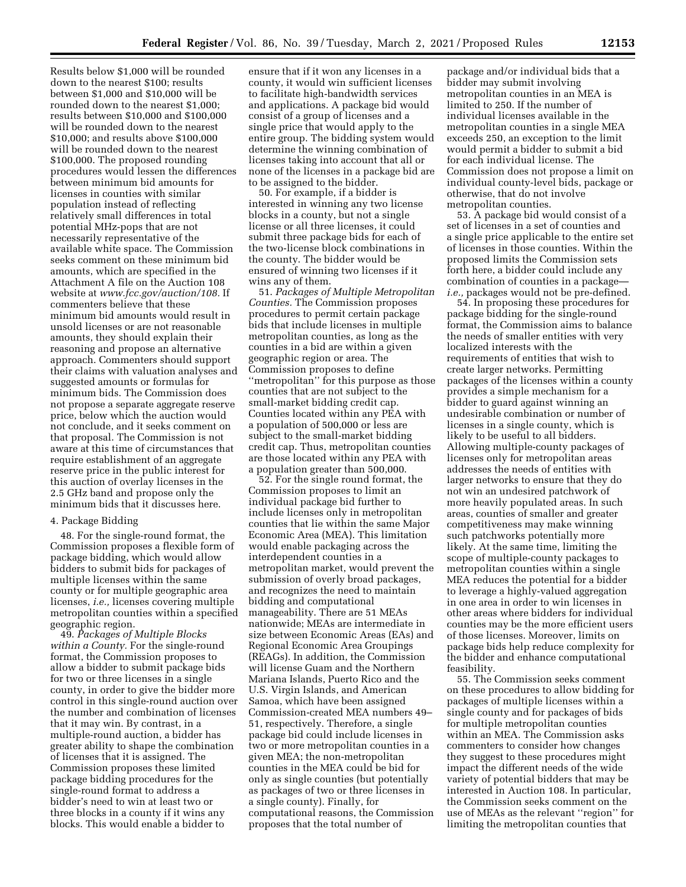Results below \$1,000 will be rounded down to the nearest \$100; results between \$1,000 and \$10,000 will be rounded down to the nearest \$1,000; results between \$10,000 and \$100,000 will be rounded down to the nearest \$10,000; and results above \$100,000 will be rounded down to the nearest \$100,000. The proposed rounding procedures would lessen the differences between minimum bid amounts for licenses in counties with similar population instead of reflecting relatively small differences in total potential MHz-pops that are not necessarily representative of the available white space. The Commission seeks comment on these minimum bid amounts, which are specified in the Attachment A file on the Auction 108 website at *[www.fcc.gov/auction/108.](http://www.fcc.gov/auction/108)* If commenters believe that these minimum bid amounts would result in unsold licenses or are not reasonable amounts, they should explain their reasoning and propose an alternative approach. Commenters should support their claims with valuation analyses and suggested amounts or formulas for minimum bids. The Commission does not propose a separate aggregate reserve price, below which the auction would not conclude, and it seeks comment on that proposal. The Commission is not aware at this time of circumstances that require establishment of an aggregate reserve price in the public interest for this auction of overlay licenses in the 2.5 GHz band and propose only the minimum bids that it discusses here.

## 4. Package Bidding

48. For the single-round format, the Commission proposes a flexible form of package bidding, which would allow bidders to submit bids for packages of multiple licenses within the same county or for multiple geographic area licenses, *i.e.,* licenses covering multiple metropolitan counties within a specified geographic region.

49. *Packages of Multiple Blocks within a County.* For the single-round format, the Commission proposes to allow a bidder to submit package bids for two or three licenses in a single county, in order to give the bidder more control in this single-round auction over the number and combination of licenses that it may win. By contrast, in a multiple-round auction, a bidder has greater ability to shape the combination of licenses that it is assigned. The Commission proposes these limited package bidding procedures for the single-round format to address a bidder's need to win at least two or three blocks in a county if it wins any blocks. This would enable a bidder to

ensure that if it won any licenses in a county, it would win sufficient licenses to facilitate high-bandwidth services and applications. A package bid would consist of a group of licenses and a single price that would apply to the entire group. The bidding system would determine the winning combination of licenses taking into account that all or none of the licenses in a package bid are to be assigned to the bidder.

50. For example, if a bidder is interested in winning any two license blocks in a county, but not a single license or all three licenses, it could submit three package bids for each of the two-license block combinations in the county. The bidder would be ensured of winning two licenses if it wins any of them.

51. *Packages of Multiple Metropolitan Counties.* The Commission proposes procedures to permit certain package bids that include licenses in multiple metropolitan counties, as long as the counties in a bid are within a given geographic region or area. The Commission proposes to define ''metropolitan'' for this purpose as those counties that are not subject to the small-market bidding credit cap. Counties located within any PEA with a population of 500,000 or less are subject to the small-market bidding credit cap. Thus, metropolitan counties are those located within any PEA with a population greater than 500,000.

52. For the single round format, the Commission proposes to limit an individual package bid further to include licenses only in metropolitan counties that lie within the same Major Economic Area (MEA). This limitation would enable packaging across the interdependent counties in a metropolitan market, would prevent the submission of overly broad packages, and recognizes the need to maintain bidding and computational manageability. There are 51 MEAs nationwide; MEAs are intermediate in size between Economic Areas (EAs) and Regional Economic Area Groupings (REAGs). In addition, the Commission will license Guam and the Northern Mariana Islands, Puerto Rico and the U.S. Virgin Islands, and American Samoa, which have been assigned Commission-created MEA numbers 49– 51, respectively. Therefore, a single package bid could include licenses in two or more metropolitan counties in a given MEA; the non-metropolitan counties in the MEA could be bid for only as single counties (but potentially as packages of two or three licenses in a single county). Finally, for computational reasons, the Commission proposes that the total number of

package and/or individual bids that a bidder may submit involving metropolitan counties in an MEA is limited to 250. If the number of individual licenses available in the metropolitan counties in a single MEA exceeds 250, an exception to the limit would permit a bidder to submit a bid for each individual license. The Commission does not propose a limit on individual county-level bids, package or otherwise, that do not involve metropolitan counties.

53. A package bid would consist of a set of licenses in a set of counties and a single price applicable to the entire set of licenses in those counties. Within the proposed limits the Commission sets forth here, a bidder could include any combination of counties in a package *i.e.,* packages would not be pre-defined.

54. In proposing these procedures for package bidding for the single-round format, the Commission aims to balance the needs of smaller entities with very localized interests with the requirements of entities that wish to create larger networks. Permitting packages of the licenses within a county provides a simple mechanism for a bidder to guard against winning an undesirable combination or number of licenses in a single county, which is likely to be useful to all bidders. Allowing multiple-county packages of licenses only for metropolitan areas addresses the needs of entities with larger networks to ensure that they do not win an undesired patchwork of more heavily populated areas. In such areas, counties of smaller and greater competitiveness may make winning such patchworks potentially more likely. At the same time, limiting the scope of multiple-county packages to metropolitan counties within a single MEA reduces the potential for a bidder to leverage a highly-valued aggregation in one area in order to win licenses in other areas where bidders for individual counties may be the more efficient users of those licenses. Moreover, limits on package bids help reduce complexity for the bidder and enhance computational feasibility.

55. The Commission seeks comment on these procedures to allow bidding for packages of multiple licenses within a single county and for packages of bids for multiple metropolitan counties within an MEA. The Commission asks commenters to consider how changes they suggest to these procedures might impact the different needs of the wide variety of potential bidders that may be interested in Auction 108. In particular, the Commission seeks comment on the use of MEAs as the relevant ''region'' for limiting the metropolitan counties that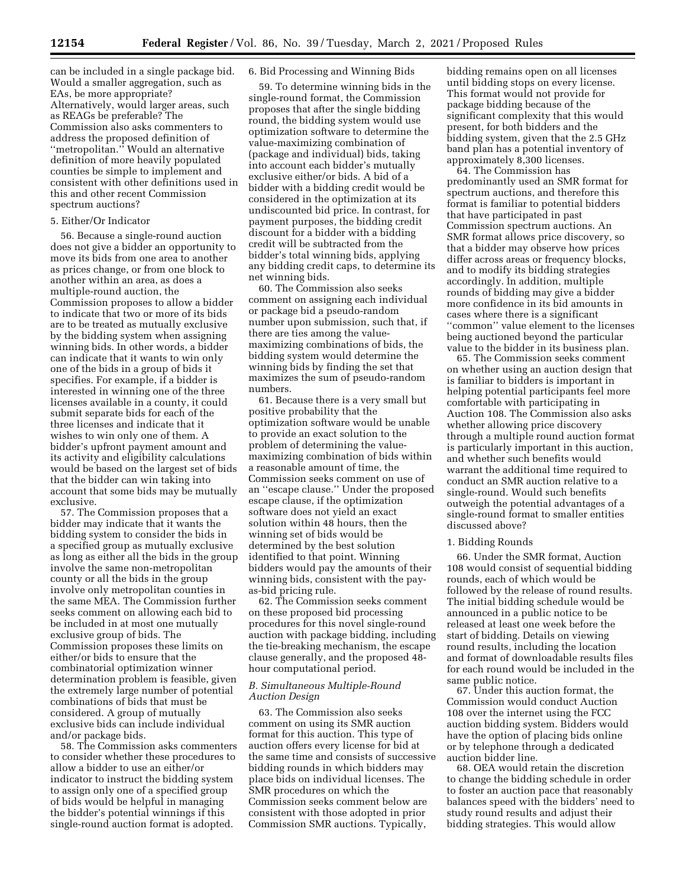can be included in a single package bid. Would a smaller aggregation, such as EAs, be more appropriate? Alternatively, would larger areas, such as REAGs be preferable? The Commission also asks commenters to address the proposed definition of ''metropolitan.'' Would an alternative definition of more heavily populated counties be simple to implement and consistent with other definitions used in this and other recent Commission spectrum auctions?

# 5. Either/Or Indicator

56. Because a single-round auction does not give a bidder an opportunity to move its bids from one area to another as prices change, or from one block to another within an area, as does a multiple-round auction, the Commission proposes to allow a bidder to indicate that two or more of its bids are to be treated as mutually exclusive by the bidding system when assigning winning bids. In other words, a bidder can indicate that it wants to win only one of the bids in a group of bids it specifies. For example, if a bidder is interested in winning one of the three licenses available in a county, it could submit separate bids for each of the three licenses and indicate that it wishes to win only one of them. A bidder's upfront payment amount and its activity and eligibility calculations would be based on the largest set of bids that the bidder can win taking into account that some bids may be mutually exclusive.

57. The Commission proposes that a bidder may indicate that it wants the bidding system to consider the bids in a specified group as mutually exclusive as long as either all the bids in the group involve the same non-metropolitan county or all the bids in the group involve only metropolitan counties in the same MEA. The Commission further seeks comment on allowing each bid to be included in at most one mutually exclusive group of bids. The Commission proposes these limits on either/or bids to ensure that the combinatorial optimization winner determination problem is feasible, given the extremely large number of potential combinations of bids that must be considered. A group of mutually exclusive bids can include individual and/or package bids.

58. The Commission asks commenters to consider whether these procedures to allow a bidder to use an either/or indicator to instruct the bidding system to assign only one of a specified group of bids would be helpful in managing the bidder's potential winnings if this single-round auction format is adopted.

#### 6. Bid Processing and Winning Bids

59. To determine winning bids in the single-round format, the Commission proposes that after the single bidding round, the bidding system would use optimization software to determine the value-maximizing combination of (package and individual) bids, taking into account each bidder's mutually exclusive either/or bids. A bid of a bidder with a bidding credit would be considered in the optimization at its undiscounted bid price. In contrast, for payment purposes, the bidding credit discount for a bidder with a bidding credit will be subtracted from the bidder's total winning bids, applying any bidding credit caps, to determine its net winning bids.

60. The Commission also seeks comment on assigning each individual or package bid a pseudo-random number upon submission, such that, if there are ties among the valuemaximizing combinations of bids, the bidding system would determine the winning bids by finding the set that maximizes the sum of pseudo-random numbers.

61. Because there is a very small but positive probability that the optimization software would be unable to provide an exact solution to the problem of determining the valuemaximizing combination of bids within a reasonable amount of time, the Commission seeks comment on use of an ''escape clause.'' Under the proposed escape clause, if the optimization software does not yield an exact solution within 48 hours, then the winning set of bids would be determined by the best solution identified to that point. Winning bidders would pay the amounts of their winning bids, consistent with the payas-bid pricing rule.

62. The Commission seeks comment on these proposed bid processing procedures for this novel single-round auction with package bidding, including the tie-breaking mechanism, the escape clause generally, and the proposed 48 hour computational period.

# *B. Simultaneous Multiple-Round Auction Design*

63. The Commission also seeks comment on using its SMR auction format for this auction. This type of auction offers every license for bid at the same time and consists of successive bidding rounds in which bidders may place bids on individual licenses. The SMR procedures on which the Commission seeks comment below are consistent with those adopted in prior Commission SMR auctions. Typically,

bidding remains open on all licenses until bidding stops on every license. This format would not provide for package bidding because of the significant complexity that this would present, for both bidders and the bidding system, given that the 2.5 GHz band plan has a potential inventory of approximately 8,300 licenses.

64. The Commission has predominantly used an SMR format for spectrum auctions, and therefore this format is familiar to potential bidders that have participated in past Commission spectrum auctions. An SMR format allows price discovery, so that a bidder may observe how prices differ across areas or frequency blocks, and to modify its bidding strategies accordingly. In addition, multiple rounds of bidding may give a bidder more confidence in its bid amounts in cases where there is a significant ''common'' value element to the licenses being auctioned beyond the particular value to the bidder in its business plan.

65. The Commission seeks comment on whether using an auction design that is familiar to bidders is important in helping potential participants feel more comfortable with participating in Auction 108. The Commission also asks whether allowing price discovery through a multiple round auction format is particularly important in this auction, and whether such benefits would warrant the additional time required to conduct an SMR auction relative to a single-round. Would such benefits outweigh the potential advantages of a single-round format to smaller entities discussed above?

#### 1. Bidding Rounds

66. Under the SMR format, Auction 108 would consist of sequential bidding rounds, each of which would be followed by the release of round results. The initial bidding schedule would be announced in a public notice to be released at least one week before the start of bidding. Details on viewing round results, including the location and format of downloadable results files for each round would be included in the same public notice.

67. Under this auction format, the Commission would conduct Auction 108 over the internet using the FCC auction bidding system. Bidders would have the option of placing bids online or by telephone through a dedicated auction bidder line.

68. OEA would retain the discretion to change the bidding schedule in order to foster an auction pace that reasonably balances speed with the bidders' need to study round results and adjust their bidding strategies. This would allow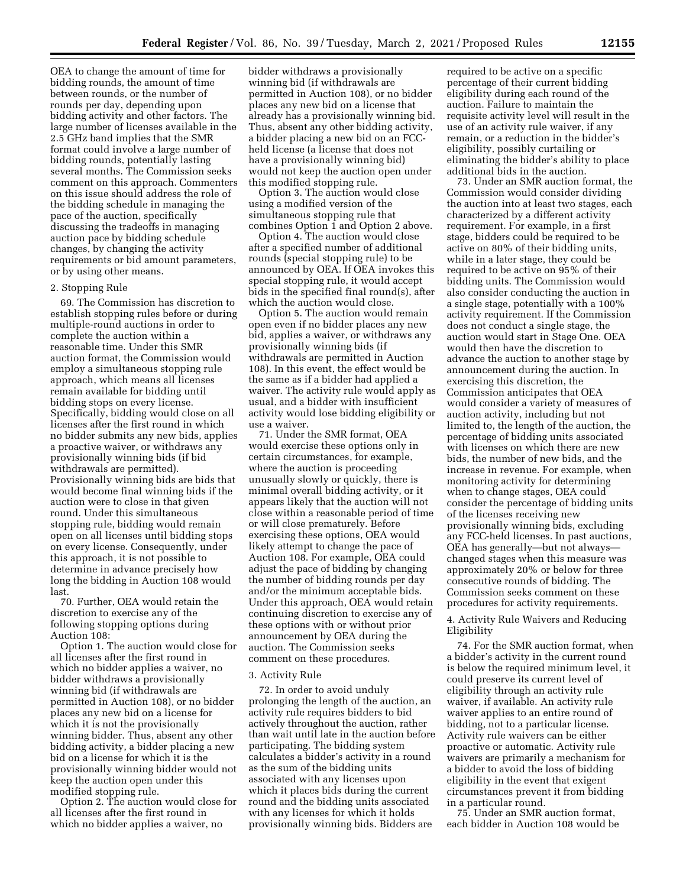OEA to change the amount of time for bidding rounds, the amount of time between rounds, or the number of rounds per day, depending upon bidding activity and other factors. The large number of licenses available in the 2.5 GHz band implies that the SMR format could involve a large number of bidding rounds, potentially lasting several months. The Commission seeks comment on this approach. Commenters on this issue should address the role of the bidding schedule in managing the pace of the auction, specifically discussing the tradeoffs in managing auction pace by bidding schedule changes, by changing the activity requirements or bid amount parameters, or by using other means.

#### 2. Stopping Rule

69. The Commission has discretion to establish stopping rules before or during multiple-round auctions in order to complete the auction within a reasonable time. Under this SMR auction format, the Commission would employ a simultaneous stopping rule approach, which means all licenses remain available for bidding until bidding stops on every license. Specifically, bidding would close on all licenses after the first round in which no bidder submits any new bids, applies a proactive waiver, or withdraws any provisionally winning bids (if bid withdrawals are permitted). Provisionally winning bids are bids that would become final winning bids if the auction were to close in that given round. Under this simultaneous stopping rule, bidding would remain open on all licenses until bidding stops on every license. Consequently, under this approach, it is not possible to determine in advance precisely how long the bidding in Auction 108 would last.

70. Further, OEA would retain the discretion to exercise any of the following stopping options during Auction 108:

Option 1. The auction would close for all licenses after the first round in which no bidder applies a waiver, no bidder withdraws a provisionally winning bid (if withdrawals are permitted in Auction 108), or no bidder places any new bid on a license for which it is not the provisionally winning bidder. Thus, absent any other bidding activity, a bidder placing a new bid on a license for which it is the provisionally winning bidder would not keep the auction open under this modified stopping rule.

Option 2. The auction would close for all licenses after the first round in which no bidder applies a waiver, no

bidder withdraws a provisionally winning bid (if withdrawals are permitted in Auction 108), or no bidder places any new bid on a license that already has a provisionally winning bid. Thus, absent any other bidding activity, a bidder placing a new bid on an FCCheld license (a license that does not have a provisionally winning bid) would not keep the auction open under this modified stopping rule.

Option 3. The auction would close using a modified version of the simultaneous stopping rule that combines Option 1 and Option 2 above.

Option 4. The auction would close after a specified number of additional rounds (special stopping rule) to be announced by OEA. If OEA invokes this special stopping rule, it would accept bids in the specified final round(s), after which the auction would close.

Option 5. The auction would remain open even if no bidder places any new bid, applies a waiver, or withdraws any provisionally winning bids (if withdrawals are permitted in Auction 108). In this event, the effect would be the same as if a bidder had applied a waiver. The activity rule would apply as usual, and a bidder with insufficient activity would lose bidding eligibility or use a waiver.

71. Under the SMR format, OEA would exercise these options only in certain circumstances, for example, where the auction is proceeding unusually slowly or quickly, there is minimal overall bidding activity, or it appears likely that the auction will not close within a reasonable period of time or will close prematurely. Before exercising these options, OEA would likely attempt to change the pace of Auction 108. For example, OEA could adjust the pace of bidding by changing the number of bidding rounds per day and/or the minimum acceptable bids. Under this approach, OEA would retain continuing discretion to exercise any of these options with or without prior announcement by OEA during the auction. The Commission seeks comment on these procedures.

#### 3. Activity Rule

72. In order to avoid unduly prolonging the length of the auction, an activity rule requires bidders to bid actively throughout the auction, rather than wait until late in the auction before participating. The bidding system calculates a bidder's activity in a round as the sum of the bidding units associated with any licenses upon which it places bids during the current round and the bidding units associated with any licenses for which it holds provisionally winning bids. Bidders are

required to be active on a specific percentage of their current bidding eligibility during each round of the auction. Failure to maintain the requisite activity level will result in the use of an activity rule waiver, if any remain, or a reduction in the bidder's eligibility, possibly curtailing or eliminating the bidder's ability to place additional bids in the auction.

73. Under an SMR auction format, the Commission would consider dividing the auction into at least two stages, each characterized by a different activity requirement. For example, in a first stage, bidders could be required to be active on 80% of their bidding units, while in a later stage, they could be required to be active on 95% of their bidding units. The Commission would also consider conducting the auction in a single stage, potentially with a 100% activity requirement. If the Commission does not conduct a single stage, the auction would start in Stage One. OEA would then have the discretion to advance the auction to another stage by announcement during the auction. In exercising this discretion, the Commission anticipates that OEA would consider a variety of measures of auction activity, including but not limited to, the length of the auction, the percentage of bidding units associated with licenses on which there are new bids, the number of new bids, and the increase in revenue. For example, when monitoring activity for determining when to change stages, OEA could consider the percentage of bidding units of the licenses receiving new provisionally winning bids, excluding any FCC-held licenses. In past auctions, OEA has generally—but not always changed stages when this measure was approximately 20% or below for three consecutive rounds of bidding. The Commission seeks comment on these procedures for activity requirements.

# 4. Activity Rule Waivers and Reducing Eligibility

74. For the SMR auction format, when a bidder's activity in the current round is below the required minimum level, it could preserve its current level of eligibility through an activity rule waiver, if available. An activity rule waiver applies to an entire round of bidding, not to a particular license. Activity rule waivers can be either proactive or automatic. Activity rule waivers are primarily a mechanism for a bidder to avoid the loss of bidding eligibility in the event that exigent circumstances prevent it from bidding in a particular round.

75. Under an SMR auction format, each bidder in Auction 108 would be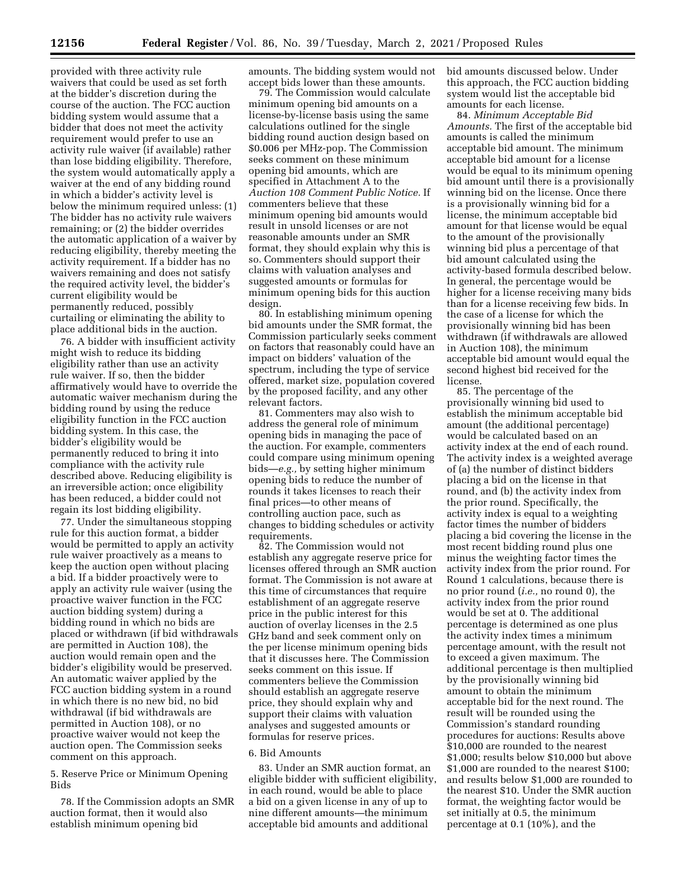provided with three activity rule waivers that could be used as set forth at the bidder's discretion during the course of the auction. The FCC auction bidding system would assume that a bidder that does not meet the activity requirement would prefer to use an activity rule waiver (if available) rather than lose bidding eligibility. Therefore, the system would automatically apply a waiver at the end of any bidding round in which a bidder's activity level is below the minimum required unless: (1) The bidder has no activity rule waivers remaining; or (2) the bidder overrides the automatic application of a waiver by reducing eligibility, thereby meeting the activity requirement. If a bidder has no waivers remaining and does not satisfy the required activity level, the bidder's current eligibility would be permanently reduced, possibly curtailing or eliminating the ability to place additional bids in the auction.

76. A bidder with insufficient activity might wish to reduce its bidding eligibility rather than use an activity rule waiver. If so, then the bidder affirmatively would have to override the automatic waiver mechanism during the bidding round by using the reduce eligibility function in the FCC auction bidding system. In this case, the bidder's eligibility would be permanently reduced to bring it into compliance with the activity rule described above. Reducing eligibility is an irreversible action; once eligibility has been reduced, a bidder could not regain its lost bidding eligibility.

77. Under the simultaneous stopping rule for this auction format, a bidder would be permitted to apply an activity rule waiver proactively as a means to keep the auction open without placing a bid. If a bidder proactively were to apply an activity rule waiver (using the proactive waiver function in the FCC auction bidding system) during a bidding round in which no bids are placed or withdrawn (if bid withdrawals are permitted in Auction 108), the auction would remain open and the bidder's eligibility would be preserved. An automatic waiver applied by the FCC auction bidding system in a round in which there is no new bid, no bid withdrawal (if bid withdrawals are permitted in Auction 108), or no proactive waiver would not keep the auction open. The Commission seeks comment on this approach.

5. Reserve Price or Minimum Opening Bids

78. If the Commission adopts an SMR auction format, then it would also establish minimum opening bid

amounts. The bidding system would not accept bids lower than these amounts.

79. The Commission would calculate minimum opening bid amounts on a license-by-license basis using the same calculations outlined for the single bidding round auction design based on \$0.006 per MHz-pop. The Commission seeks comment on these minimum opening bid amounts, which are specified in Attachment A to the *Auction 108 Comment Public Notice.* If commenters believe that these minimum opening bid amounts would result in unsold licenses or are not reasonable amounts under an SMR format, they should explain why this is so. Commenters should support their claims with valuation analyses and suggested amounts or formulas for minimum opening bids for this auction design.

80. In establishing minimum opening bid amounts under the SMR format, the Commission particularly seeks comment on factors that reasonably could have an impact on bidders' valuation of the spectrum, including the type of service offered, market size, population covered by the proposed facility, and any other relevant factors.

81. Commenters may also wish to address the general role of minimum opening bids in managing the pace of the auction. For example, commenters could compare using minimum opening bids—*e.g.,* by setting higher minimum opening bids to reduce the number of rounds it takes licenses to reach their final prices—to other means of controlling auction pace, such as changes to bidding schedules or activity requirements.

82. The Commission would not establish any aggregate reserve price for licenses offered through an SMR auction format. The Commission is not aware at this time of circumstances that require establishment of an aggregate reserve price in the public interest for this auction of overlay licenses in the 2.5 GHz band and seek comment only on the per license minimum opening bids that it discusses here. The Commission seeks comment on this issue. If commenters believe the Commission should establish an aggregate reserve price, they should explain why and support their claims with valuation analyses and suggested amounts or formulas for reserve prices.

#### 6. Bid Amounts

83. Under an SMR auction format, an eligible bidder with sufficient eligibility, in each round, would be able to place a bid on a given license in any of up to nine different amounts—the minimum acceptable bid amounts and additional

bid amounts discussed below. Under this approach, the FCC auction bidding system would list the acceptable bid amounts for each license.

84. *Minimum Acceptable Bid Amounts.* The first of the acceptable bid amounts is called the minimum acceptable bid amount. The minimum acceptable bid amount for a license would be equal to its minimum opening bid amount until there is a provisionally winning bid on the license. Once there is a provisionally winning bid for a license, the minimum acceptable bid amount for that license would be equal to the amount of the provisionally winning bid plus a percentage of that bid amount calculated using the activity-based formula described below. In general, the percentage would be higher for a license receiving many bids than for a license receiving few bids. In the case of a license for which the provisionally winning bid has been withdrawn (if withdrawals are allowed in Auction 108), the minimum acceptable bid amount would equal the second highest bid received for the license.

85. The percentage of the provisionally winning bid used to establish the minimum acceptable bid amount (the additional percentage) would be calculated based on an activity index at the end of each round. The activity index is a weighted average of (a) the number of distinct bidders placing a bid on the license in that round, and (b) the activity index from the prior round. Specifically, the activity index is equal to a weighting factor times the number of bidders placing a bid covering the license in the most recent bidding round plus one minus the weighting factor times the activity index from the prior round. For Round 1 calculations, because there is no prior round (*i.e.,* no round 0), the activity index from the prior round would be set at 0. The additional percentage is determined as one plus the activity index times a minimum percentage amount, with the result not to exceed a given maximum. The additional percentage is then multiplied by the provisionally winning bid amount to obtain the minimum acceptable bid for the next round. The result will be rounded using the Commission's standard rounding procedures for auctions: Results above \$10,000 are rounded to the nearest \$1,000; results below \$10,000 but above \$1,000 are rounded to the nearest \$100; and results below \$1,000 are rounded to the nearest \$10. Under the SMR auction format, the weighting factor would be set initially at 0.5, the minimum percentage at 0.1 (10%), and the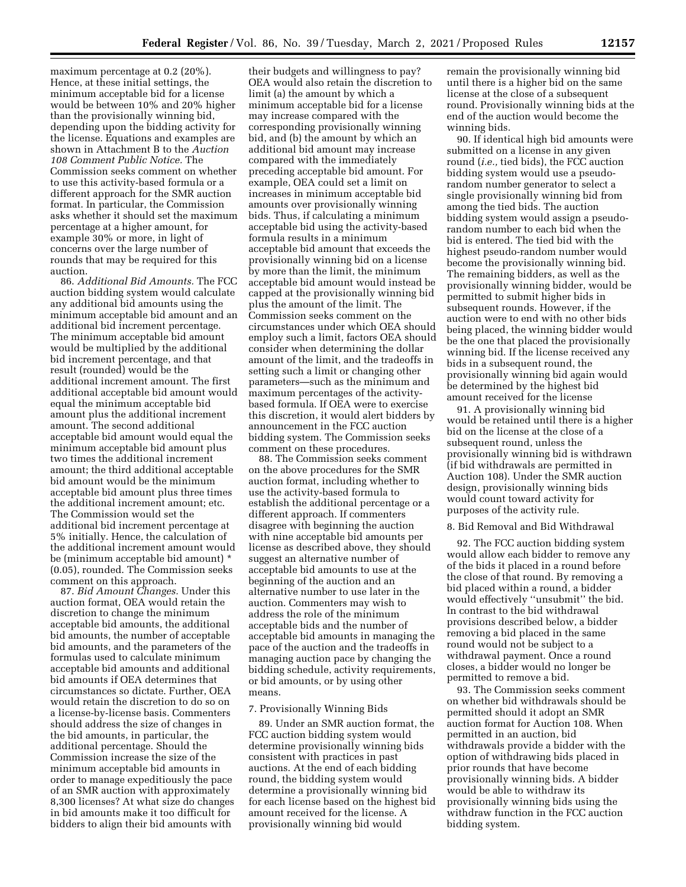maximum percentage at 0.2 (20%). Hence, at these initial settings, the minimum acceptable bid for a license would be between 10% and 20% higher than the provisionally winning bid, depending upon the bidding activity for the license. Equations and examples are shown in Attachment B to the *Auction 108 Comment Public Notice.* The Commission seeks comment on whether to use this activity-based formula or a different approach for the SMR auction format. In particular, the Commission asks whether it should set the maximum percentage at a higher amount, for example 30% or more, in light of concerns over the large number of rounds that may be required for this auction.

86. *Additional Bid Amounts.* The FCC auction bidding system would calculate any additional bid amounts using the minimum acceptable bid amount and an additional bid increment percentage. The minimum acceptable bid amount would be multiplied by the additional bid increment percentage, and that result (rounded) would be the additional increment amount. The first additional acceptable bid amount would equal the minimum acceptable bid amount plus the additional increment amount. The second additional acceptable bid amount would equal the minimum acceptable bid amount plus two times the additional increment amount; the third additional acceptable bid amount would be the minimum acceptable bid amount plus three times the additional increment amount; etc. The Commission would set the additional bid increment percentage at 5% initially. Hence, the calculation of the additional increment amount would be (minimum acceptable bid amount) \* (0.05), rounded. The Commission seeks comment on this approach.

87. *Bid Amount Changes.* Under this auction format, OEA would retain the discretion to change the minimum acceptable bid amounts, the additional bid amounts, the number of acceptable bid amounts, and the parameters of the formulas used to calculate minimum acceptable bid amounts and additional bid amounts if OEA determines that circumstances so dictate. Further, OEA would retain the discretion to do so on a license-by-license basis. Commenters should address the size of changes in the bid amounts, in particular, the additional percentage. Should the Commission increase the size of the minimum acceptable bid amounts in order to manage expeditiously the pace of an SMR auction with approximately 8,300 licenses? At what size do changes in bid amounts make it too difficult for bidders to align their bid amounts with

their budgets and willingness to pay? OEA would also retain the discretion to limit (a) the amount by which a minimum acceptable bid for a license may increase compared with the corresponding provisionally winning bid, and (b) the amount by which an additional bid amount may increase compared with the immediately preceding acceptable bid amount. For example, OEA could set a limit on increases in minimum acceptable bid amounts over provisionally winning bids. Thus, if calculating a minimum acceptable bid using the activity-based formula results in a minimum acceptable bid amount that exceeds the provisionally winning bid on a license by more than the limit, the minimum acceptable bid amount would instead be capped at the provisionally winning bid plus the amount of the limit. The Commission seeks comment on the circumstances under which OEA should employ such a limit, factors OEA should consider when determining the dollar amount of the limit, and the tradeoffs in setting such a limit or changing other parameters—such as the minimum and maximum percentages of the activitybased formula. If OEA were to exercise this discretion, it would alert bidders by announcement in the FCC auction bidding system. The Commission seeks comment on these procedures.

88. The Commission seeks comment on the above procedures for the SMR auction format, including whether to use the activity-based formula to establish the additional percentage or a different approach. If commenters disagree with beginning the auction with nine acceptable bid amounts per license as described above, they should suggest an alternative number of acceptable bid amounts to use at the beginning of the auction and an alternative number to use later in the auction. Commenters may wish to address the role of the minimum acceptable bids and the number of acceptable bid amounts in managing the pace of the auction and the tradeoffs in managing auction pace by changing the bidding schedule, activity requirements, or bid amounts, or by using other means.

# 7. Provisionally Winning Bids

89. Under an SMR auction format, the FCC auction bidding system would determine provisionally winning bids consistent with practices in past auctions. At the end of each bidding round, the bidding system would determine a provisionally winning bid for each license based on the highest bid amount received for the license. A provisionally winning bid would

remain the provisionally winning bid until there is a higher bid on the same license at the close of a subsequent round. Provisionally winning bids at the end of the auction would become the winning bids.

90. If identical high bid amounts were submitted on a license in any given round (*i.e.,* tied bids), the FCC auction bidding system would use a pseudorandom number generator to select a single provisionally winning bid from among the tied bids. The auction bidding system would assign a pseudorandom number to each bid when the bid is entered. The tied bid with the highest pseudo-random number would become the provisionally winning bid. The remaining bidders, as well as the provisionally winning bidder, would be permitted to submit higher bids in subsequent rounds. However, if the auction were to end with no other bids being placed, the winning bidder would be the one that placed the provisionally winning bid. If the license received any bids in a subsequent round, the provisionally winning bid again would be determined by the highest bid amount received for the license

91. A provisionally winning bid would be retained until there is a higher bid on the license at the close of a subsequent round, unless the provisionally winning bid is withdrawn (if bid withdrawals are permitted in Auction 108). Under the SMR auction design, provisionally winning bids would count toward activity for purposes of the activity rule.

# 8. Bid Removal and Bid Withdrawal

92. The FCC auction bidding system would allow each bidder to remove any of the bids it placed in a round before the close of that round. By removing a bid placed within a round, a bidder would effectively ''unsubmit'' the bid. In contrast to the bid withdrawal provisions described below, a bidder removing a bid placed in the same round would not be subject to a withdrawal payment. Once a round closes, a bidder would no longer be permitted to remove a bid.

93. The Commission seeks comment on whether bid withdrawals should be permitted should it adopt an SMR auction format for Auction 108. When permitted in an auction, bid withdrawals provide a bidder with the option of withdrawing bids placed in prior rounds that have become provisionally winning bids. A bidder would be able to withdraw its provisionally winning bids using the withdraw function in the FCC auction bidding system.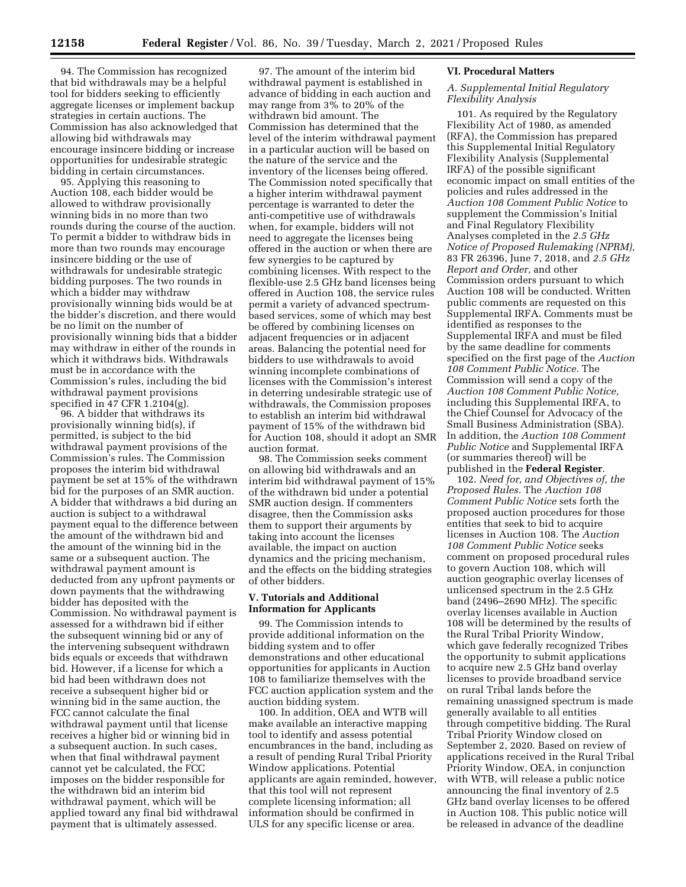94. The Commission has recognized that bid withdrawals may be a helpful tool for bidders seeking to efficiently aggregate licenses or implement backup strategies in certain auctions. The Commission has also acknowledged that allowing bid withdrawals may encourage insincere bidding or increase opportunities for undesirable strategic bidding in certain circumstances.

95. Applying this reasoning to Auction 108, each bidder would be allowed to withdraw provisionally winning bids in no more than two rounds during the course of the auction. To permit a bidder to withdraw bids in more than two rounds may encourage insincere bidding or the use of withdrawals for undesirable strategic bidding purposes. The two rounds in which a bidder may withdraw provisionally winning bids would be at the bidder's discretion, and there would be no limit on the number of provisionally winning bids that a bidder may withdraw in either of the rounds in which it withdraws bids. Withdrawals must be in accordance with the Commission's rules, including the bid withdrawal payment provisions specified in 47 CFR 1.2104(g).

96. A bidder that withdraws its provisionally winning bid(s), if permitted, is subject to the bid withdrawal payment provisions of the Commission's rules. The Commission proposes the interim bid withdrawal payment be set at 15% of the withdrawn bid for the purposes of an SMR auction. A bidder that withdraws a bid during an auction is subject to a withdrawal payment equal to the difference between the amount of the withdrawn bid and the amount of the winning bid in the same or a subsequent auction. The withdrawal payment amount is deducted from any upfront payments or down payments that the withdrawing bidder has deposited with the Commission. No withdrawal payment is assessed for a withdrawn bid if either the subsequent winning bid or any of the intervening subsequent withdrawn bids equals or exceeds that withdrawn bid. However, if a license for which a bid had been withdrawn does not receive a subsequent higher bid or winning bid in the same auction, the FCC cannot calculate the final withdrawal payment until that license receives a higher bid or winning bid in a subsequent auction. In such cases, when that final withdrawal payment cannot yet be calculated, the FCC imposes on the bidder responsible for the withdrawn bid an interim bid withdrawal payment, which will be applied toward any final bid withdrawal payment that is ultimately assessed.

97. The amount of the interim bid withdrawal payment is established in advance of bidding in each auction and may range from 3% to 20% of the withdrawn bid amount. The Commission has determined that the level of the interim withdrawal payment in a particular auction will be based on the nature of the service and the inventory of the licenses being offered. The Commission noted specifically that a higher interim withdrawal payment percentage is warranted to deter the anti-competitive use of withdrawals when, for example, bidders will not need to aggregate the licenses being offered in the auction or when there are few synergies to be captured by combining licenses. With respect to the flexible-use 2.5 GHz band licenses being offered in Auction 108, the service rules permit a variety of advanced spectrumbased services, some of which may best be offered by combining licenses on adjacent frequencies or in adjacent areas. Balancing the potential need for bidders to use withdrawals to avoid winning incomplete combinations of licenses with the Commission's interest in deterring undesirable strategic use of withdrawals, the Commission proposes to establish an interim bid withdrawal payment of 15% of the withdrawn bid for Auction 108, should it adopt an SMR auction format.

98. The Commission seeks comment on allowing bid withdrawals and an interim bid withdrawal payment of 15% of the withdrawn bid under a potential SMR auction design. If commenters disagree, then the Commission asks them to support their arguments by taking into account the licenses available, the impact on auction dynamics and the pricing mechanism, and the effects on the bidding strategies of other bidders.

# **V. Tutorials and Additional Information for Applicants**

99. The Commission intends to provide additional information on the bidding system and to offer demonstrations and other educational opportunities for applicants in Auction 108 to familiarize themselves with the FCC auction application system and the auction bidding system.

100. In addition, OEA and WTB will make available an interactive mapping tool to identify and assess potential encumbrances in the band, including as a result of pending Rural Tribal Priority Window applications. Potential applicants are again reminded, however, that this tool will not represent complete licensing information; all information should be confirmed in ULS for any specific license or area.

# **VI. Procedural Matters**

# *A. Supplemental Initial Regulatory Flexibility Analysis*

101. As required by the Regulatory Flexibility Act of 1980, as amended (RFA), the Commission has prepared this Supplemental Initial Regulatory Flexibility Analysis (Supplemental IRFA) of the possible significant economic impact on small entities of the policies and rules addressed in the *Auction 108 Comment Public Notice* to supplement the Commission's Initial and Final Regulatory Flexibility Analyses completed in the *2.5 GHz Notice of Proposed Rulemaking (NPRM),*  83 FR 26396, June 7, 2018, and *2.5 GHz Report and Order,* and other Commission orders pursuant to which Auction 108 will be conducted. Written public comments are requested on this Supplemental IRFA. Comments must be identified as responses to the Supplemental IRFA and must be filed by the same deadline for comments specified on the first page of the *Auction 108 Comment Public Notice.* The Commission will send a copy of the *Auction 108 Comment Public Notice,*  including this Supplemental IRFA, to the Chief Counsel for Advocacy of the Small Business Administration (SBA). In addition, the *Auction 108 Comment Public Notice* and Supplemental IRFA (or summaries thereof) will be published in the **Federal Register**.

102. *Need for, and Objectives of, the Proposed Rules.* The *Auction 108 Comment Public Notice* sets forth the proposed auction procedures for those entities that seek to bid to acquire licenses in Auction 108. The *Auction 108 Comment Public Notice* seeks comment on proposed procedural rules to govern Auction 108, which will auction geographic overlay licenses of unlicensed spectrum in the 2.5 GHz band (2496–2690 MHz). The specific overlay licenses available in Auction 108 will be determined by the results of the Rural Tribal Priority Window, which gave federally recognized Tribes the opportunity to submit applications to acquire new 2.5 GHz band overlay licenses to provide broadband service on rural Tribal lands before the remaining unassigned spectrum is made generally available to all entities through competitive bidding. The Rural Tribal Priority Window closed on September 2, 2020. Based on review of applications received in the Rural Tribal Priority Window, OEA, in conjunction with WTB, will release a public notice announcing the final inventory of 2.5 GHz band overlay licenses to be offered in Auction 108. This public notice will be released in advance of the deadline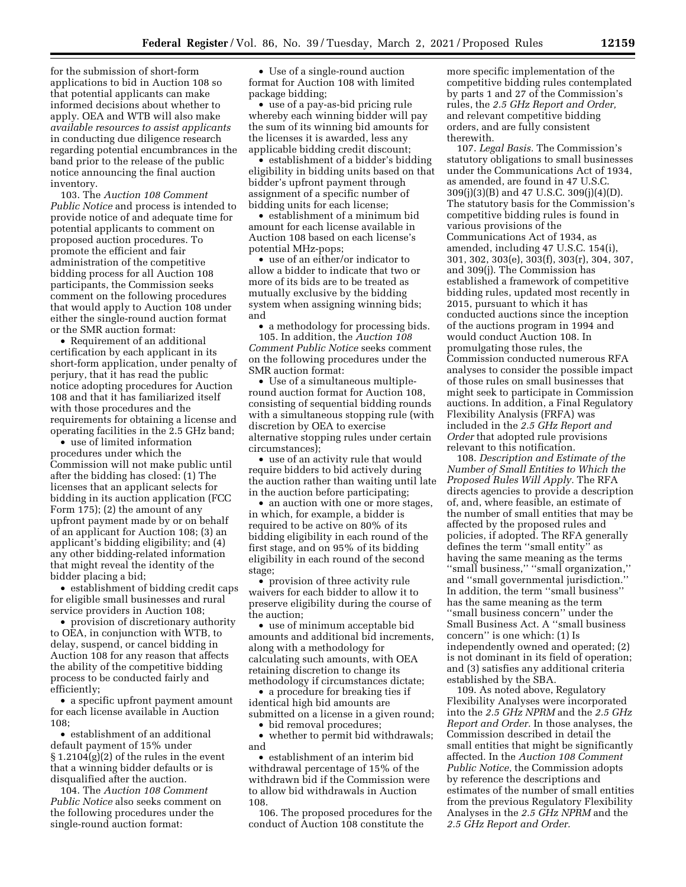for the submission of short-form applications to bid in Auction 108 so that potential applicants can make informed decisions about whether to apply. OEA and WTB will also make *available resources to assist applicants*  in conducting due diligence research regarding potential encumbrances in the band prior to the release of the public notice announcing the final auction inventory.

103. The *Auction 108 Comment Public Notice* and process is intended to provide notice of and adequate time for potential applicants to comment on proposed auction procedures. To promote the efficient and fair administration of the competitive bidding process for all Auction 108 participants, the Commission seeks comment on the following procedures that would apply to Auction 108 under either the single-round auction format or the SMR auction format:

• Requirement of an additional certification by each applicant in its short-form application, under penalty of perjury, that it has read the public notice adopting procedures for Auction 108 and that it has familiarized itself with those procedures and the requirements for obtaining a license and operating facilities in the 2.5 GHz band;

• use of limited information procedures under which the Commission will not make public until after the bidding has closed: (1) The licenses that an applicant selects for bidding in its auction application (FCC Form 175); (2) the amount of any upfront payment made by or on behalf of an applicant for Auction 108; (3) an applicant's bidding eligibility; and (4) any other bidding-related information that might reveal the identity of the bidder placing a bid;

• establishment of bidding credit caps for eligible small businesses and rural service providers in Auction 108;

• provision of discretionary authority to OEA, in conjunction with WTB, to delay, suspend, or cancel bidding in Auction 108 for any reason that affects the ability of the competitive bidding process to be conducted fairly and efficiently;

• a specific upfront payment amount for each license available in Auction 108;

• establishment of an additional default payment of 15% under § 1.2104(g)(2) of the rules in the event that a winning bidder defaults or is disqualified after the auction.

104. The *Auction 108 Comment Public Notice* also seeks comment on the following procedures under the single-round auction format:

• Use of a single-round auction format for Auction 108 with limited package bidding;

• use of a pay-as-bid pricing rule whereby each winning bidder will pay the sum of its winning bid amounts for the licenses it is awarded, less any applicable bidding credit discount;

• establishment of a bidder's bidding eligibility in bidding units based on that bidder's upfront payment through assignment of a specific number of bidding units for each license;

• establishment of a minimum bid amount for each license available in Auction 108 based on each license's potential MHz-pops;

• use of an either/or indicator to allow a bidder to indicate that two or more of its bids are to be treated as mutually exclusive by the bidding system when assigning winning bids; and

• a methodology for processing bids. 105. In addition, the *Auction 108 Comment Public Notice* seeks comment on the following procedures under the SMR auction format:

• Use of a simultaneous multipleround auction format for Auction 108, consisting of sequential bidding rounds with a simultaneous stopping rule (with discretion by OEA to exercise alternative stopping rules under certain circumstances);

• use of an activity rule that would require bidders to bid actively during the auction rather than waiting until late in the auction before participating;

• an auction with one or more stages, in which, for example, a bidder is required to be active on 80% of its bidding eligibility in each round of the first stage, and on 95% of its bidding eligibility in each round of the second stage;

• provision of three activity rule waivers for each bidder to allow it to preserve eligibility during the course of the auction;

• use of minimum acceptable bid amounts and additional bid increments, along with a methodology for calculating such amounts, with OEA retaining discretion to change its methodology if circumstances dictate;

• a procedure for breaking ties if identical high bid amounts are submitted on a license in a given round;

• bid removal procedures;

• whether to permit bid withdrawals; and

• establishment of an interim bid withdrawal percentage of 15% of the withdrawn bid if the Commission were to allow bid withdrawals in Auction 108.

106. The proposed procedures for the conduct of Auction 108 constitute the

more specific implementation of the competitive bidding rules contemplated by parts 1 and 27 of the Commission's rules, the *2.5 GHz Report and Order,*  and relevant competitive bidding orders, and are fully consistent therewith.

107. *Legal Basis.* The Commission's statutory obligations to small businesses under the Communications Act of 1934, as amended, are found in 47 U.S.C. 309(j)(3)(B) and 47 U.S.C. 309(j)(4)(D). The statutory basis for the Commission's competitive bidding rules is found in various provisions of the Communications Act of 1934, as amended, including 47 U.S.C. 154(i), 301, 302, 303(e), 303(f), 303(r), 304, 307, and 309(j). The Commission has established a framework of competitive bidding rules, updated most recently in 2015, pursuant to which it has conducted auctions since the inception of the auctions program in 1994 and would conduct Auction 108. In promulgating those rules, the Commission conducted numerous RFA analyses to consider the possible impact of those rules on small businesses that might seek to participate in Commission auctions. In addition, a Final Regulatory Flexibility Analysis (FRFA) was included in the *2.5 GHz Report and Order* that adopted rule provisions relevant to this notification.

108. *Description and Estimate of the Number of Small Entities to Which the Proposed Rules Will Apply.* The RFA directs agencies to provide a description of, and, where feasible, an estimate of the number of small entities that may be affected by the proposed rules and policies, if adopted. The RFA generally defines the term ''small entity'' as having the same meaning as the terms ''small business,'' ''small organization,'' and ''small governmental jurisdiction.'' In addition, the term ''small business'' has the same meaning as the term ''small business concern'' under the Small Business Act. A ''small business concern'' is one which: (1) Is independently owned and operated; (2) is not dominant in its field of operation; and (3) satisfies any additional criteria established by the SBA.

109. As noted above, Regulatory Flexibility Analyses were incorporated into the *2.5 GHz NPRM* and the *2.5 GHz Report and Order.* In those analyses, the Commission described in detail the small entities that might be significantly affected. In the *Auction 108 Comment Public Notice,* the Commission adopts by reference the descriptions and estimates of the number of small entities from the previous Regulatory Flexibility Analyses in the *2.5 GHz NPRM* and the *2.5 GHz Report and Order.*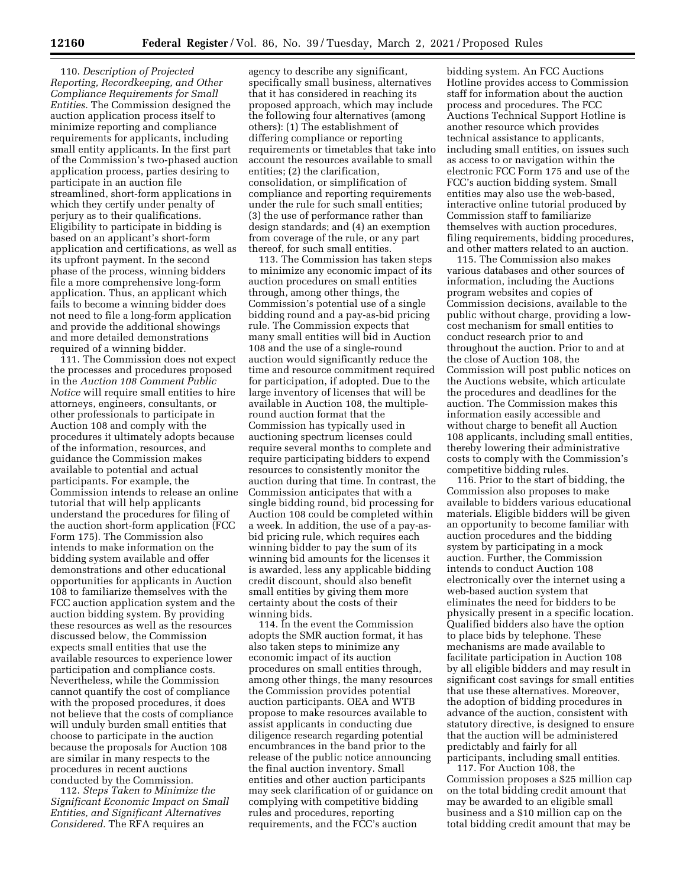110. *Description of Projected Reporting, Recordkeeping, and Other Compliance Requirements for Small Entities.* The Commission designed the auction application process itself to minimize reporting and compliance requirements for applicants, including small entity applicants. In the first part of the Commission's two-phased auction application process, parties desiring to participate in an auction file streamlined, short-form applications in which they certify under penalty of perjury as to their qualifications. Eligibility to participate in bidding is based on an applicant's short-form application and certifications, as well as its upfront payment. In the second phase of the process, winning bidders file a more comprehensive long-form application. Thus, an applicant which fails to become a winning bidder does not need to file a long-form application and provide the additional showings and more detailed demonstrations required of a winning bidder.

111. The Commission does not expect the processes and procedures proposed in the *Auction 108 Comment Public Notice* will require small entities to hire attorneys, engineers, consultants, or other professionals to participate in Auction 108 and comply with the procedures it ultimately adopts because of the information, resources, and guidance the Commission makes available to potential and actual participants. For example, the Commission intends to release an online tutorial that will help applicants understand the procedures for filing of the auction short-form application (FCC Form 175). The Commission also intends to make information on the bidding system available and offer demonstrations and other educational opportunities for applicants in Auction 108 to familiarize themselves with the FCC auction application system and the auction bidding system. By providing these resources as well as the resources discussed below, the Commission expects small entities that use the available resources to experience lower participation and compliance costs. Nevertheless, while the Commission cannot quantify the cost of compliance with the proposed procedures, it does not believe that the costs of compliance will unduly burden small entities that choose to participate in the auction because the proposals for Auction 108 are similar in many respects to the procedures in recent auctions conducted by the Commission.

112. *Steps Taken to Minimize the Significant Economic Impact on Small Entities, and Significant Alternatives Considered.* The RFA requires an

agency to describe any significant, specifically small business, alternatives that it has considered in reaching its proposed approach, which may include the following four alternatives (among others): (1) The establishment of differing compliance or reporting requirements or timetables that take into account the resources available to small entities; (2) the clarification, consolidation, or simplification of compliance and reporting requirements under the rule for such small entities; (3) the use of performance rather than design standards; and (4) an exemption from coverage of the rule, or any part thereof, for such small entities.

113. The Commission has taken steps to minimize any economic impact of its auction procedures on small entities through, among other things, the Commission's potential use of a single bidding round and a pay-as-bid pricing rule. The Commission expects that many small entities will bid in Auction 108 and the use of a single-round auction would significantly reduce the time and resource commitment required for participation, if adopted. Due to the large inventory of licenses that will be available in Auction 108, the multipleround auction format that the Commission has typically used in auctioning spectrum licenses could require several months to complete and require participating bidders to expend resources to consistently monitor the auction during that time. In contrast, the Commission anticipates that with a single bidding round, bid processing for Auction 108 could be completed within a week. In addition, the use of a pay-asbid pricing rule, which requires each winning bidder to pay the sum of its winning bid amounts for the licenses it is awarded, less any applicable bidding credit discount, should also benefit small entities by giving them more certainty about the costs of their winning bids.

114. In the event the Commission adopts the SMR auction format, it has also taken steps to minimize any economic impact of its auction procedures on small entities through, among other things, the many resources the Commission provides potential auction participants. OEA and WTB propose to make resources available to assist applicants in conducting due diligence research regarding potential encumbrances in the band prior to the release of the public notice announcing the final auction inventory. Small entities and other auction participants may seek clarification of or guidance on complying with competitive bidding rules and procedures, reporting requirements, and the FCC's auction

bidding system. An FCC Auctions Hotline provides access to Commission staff for information about the auction process and procedures. The FCC Auctions Technical Support Hotline is another resource which provides technical assistance to applicants, including small entities, on issues such as access to or navigation within the electronic FCC Form 175 and use of the FCC's auction bidding system. Small entities may also use the web-based, interactive online tutorial produced by Commission staff to familiarize themselves with auction procedures, filing requirements, bidding procedures, and other matters related to an auction.

115. The Commission also makes various databases and other sources of information, including the Auctions program websites and copies of Commission decisions, available to the public without charge, providing a lowcost mechanism for small entities to conduct research prior to and throughout the auction. Prior to and at the close of Auction 108, the Commission will post public notices on the Auctions website, which articulate the procedures and deadlines for the auction. The Commission makes this information easily accessible and without charge to benefit all Auction 108 applicants, including small entities, thereby lowering their administrative costs to comply with the Commission's competitive bidding rules.

116. Prior to the start of bidding, the Commission also proposes to make available to bidders various educational materials. Eligible bidders will be given an opportunity to become familiar with auction procedures and the bidding system by participating in a mock auction. Further, the Commission intends to conduct Auction 108 electronically over the internet using a web-based auction system that eliminates the need for bidders to be physically present in a specific location. Qualified bidders also have the option to place bids by telephone. These mechanisms are made available to facilitate participation in Auction 108 by all eligible bidders and may result in significant cost savings for small entities that use these alternatives. Moreover, the adoption of bidding procedures in advance of the auction, consistent with statutory directive, is designed to ensure that the auction will be administered predictably and fairly for all participants, including small entities.

117. For Auction 108, the Commission proposes a \$25 million cap on the total bidding credit amount that may be awarded to an eligible small business and a \$10 million cap on the total bidding credit amount that may be